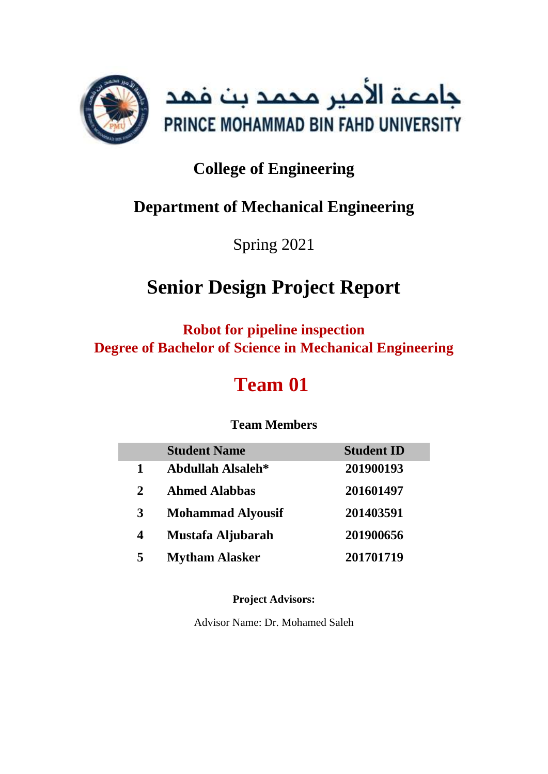

# **College of Engineering**

## **Department of Mechanical Engineering**

Spring 2021

# **Senior Design Project Report**

**Robot for pipeline inspection Degree of Bachelor of Science in Mechanical Engineering**

# **Team 01**

## **Team Members**

|             | <b>Student Name</b>      | <b>Student ID</b> |
|-------------|--------------------------|-------------------|
| 1           | Abdullah Alsaleh*        | 201900193         |
| $\mathbf 2$ | <b>Ahmed Alabbas</b>     | 201601497         |
| 3           | <b>Mohammad Alyousif</b> | 201403591         |
| 4           | Mustafa Aljubarah        | 201900656         |
| 5           | <b>Mytham Alasker</b>    | 201701719         |

**Project Advisors:**

Advisor Name: Dr. Mohamed Saleh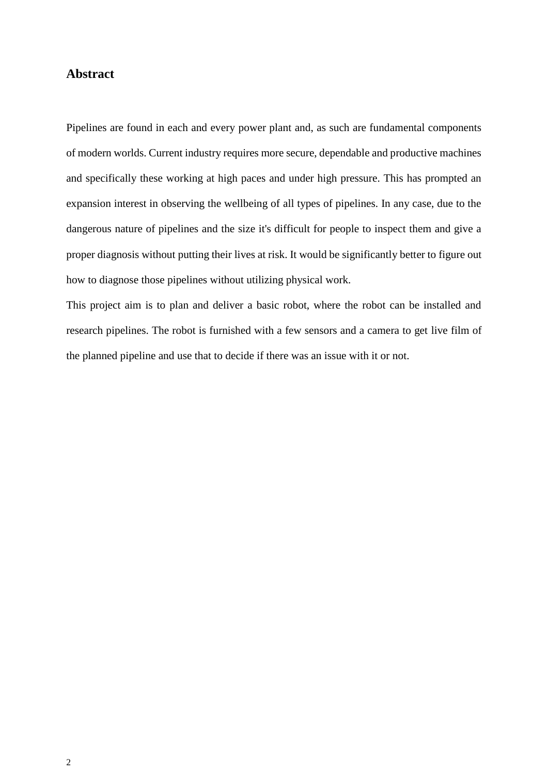#### **Abstract**

Pipelines are found in each and every power plant and, as such are fundamental components of modern worlds. Current industry requires more secure, dependable and productive machines and specifically these working at high paces and under high pressure. This has prompted an expansion interest in observing the wellbeing of all types of pipelines. In any case, due to the dangerous nature of pipelines and the size it's difficult for people to inspect them and give a proper diagnosis without putting their lives at risk. It would be significantly better to figure out how to diagnose those pipelines without utilizing physical work.

This project aim is to plan and deliver a basic robot, where the robot can be installed and research pipelines. The robot is furnished with a few sensors and a camera to get live film of the planned pipeline and use that to decide if there was an issue with it or not.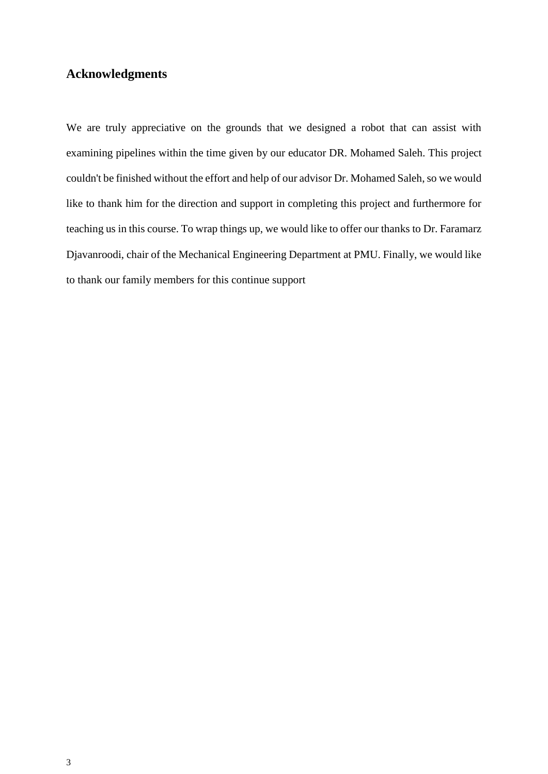## **Acknowledgments**

We are truly appreciative on the grounds that we designed a robot that can assist with examining pipelines within the time given by our educator DR. Mohamed Saleh. This project couldn't be finished without the effort and help of our advisor Dr. Mohamed Saleh, so we would like to thank him for the direction and support in completing this project and furthermore for teaching us in this course. To wrap things up, we would like to offer our thanks to Dr. Faramarz Djavanroodi, chair of the Mechanical Engineering Department at PMU. Finally, we would like to thank our family members for this continue support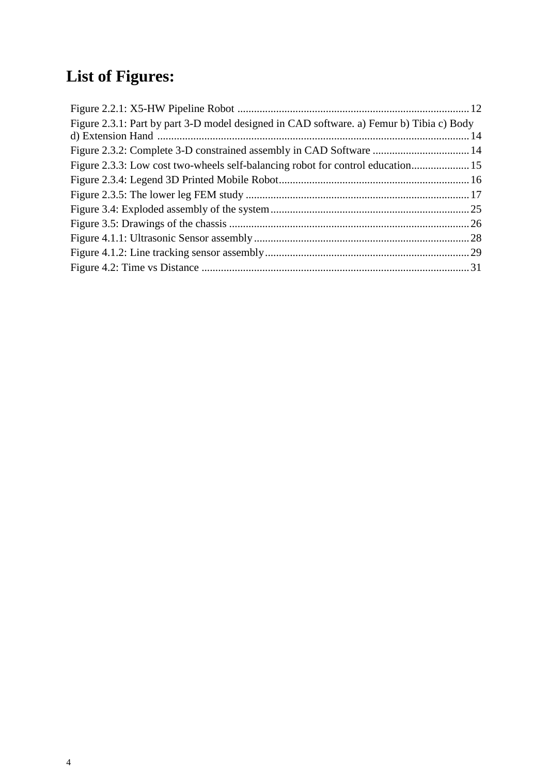# **List of Figures:**

| Figure 2.3.1: Part by part 3-D model designed in CAD software. a) Femur b) Tibia c) Body |
|------------------------------------------------------------------------------------------|
|                                                                                          |
|                                                                                          |
| Figure 2.3.3: Low cost two-wheels self-balancing robot for control education 15          |
|                                                                                          |
|                                                                                          |
|                                                                                          |
|                                                                                          |
|                                                                                          |
|                                                                                          |
|                                                                                          |
|                                                                                          |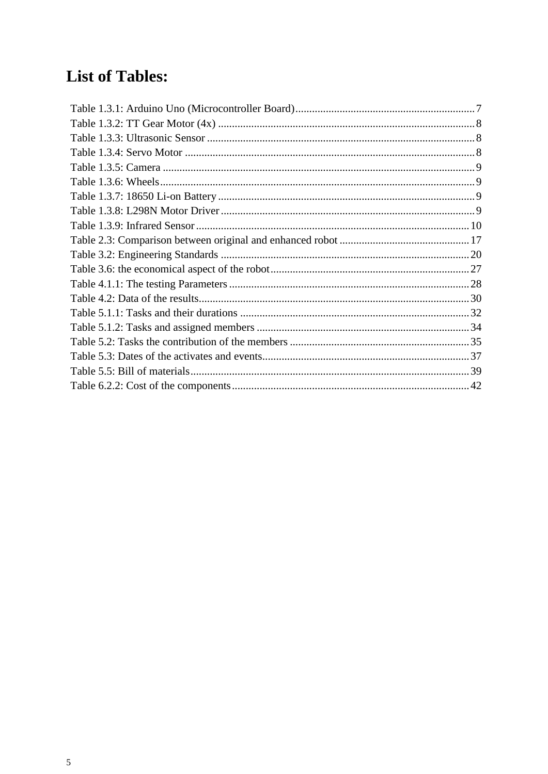## **List of Tables:**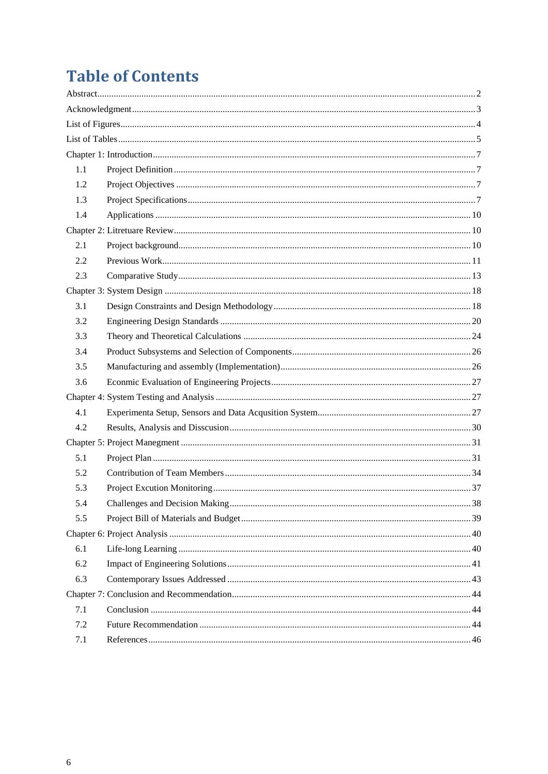# **Table of Contents**

| 1.1 |  |  |
|-----|--|--|
| 1.2 |  |  |
| 1.3 |  |  |
| 1.4 |  |  |
|     |  |  |
| 2.1 |  |  |
| 2.2 |  |  |
| 2.3 |  |  |
|     |  |  |
| 3.1 |  |  |
| 3.2 |  |  |
| 3.3 |  |  |
| 3.4 |  |  |
| 3.5 |  |  |
| 3.6 |  |  |
|     |  |  |
| 4.1 |  |  |
| 4.2 |  |  |
|     |  |  |
| 5.1 |  |  |
| 5.2 |  |  |
| 5.3 |  |  |
| 5.4 |  |  |
| 5.5 |  |  |
|     |  |  |
| 6.1 |  |  |
| 6.2 |  |  |
| 6.3 |  |  |
|     |  |  |
| 7.1 |  |  |
| 7.2 |  |  |
| 7.1 |  |  |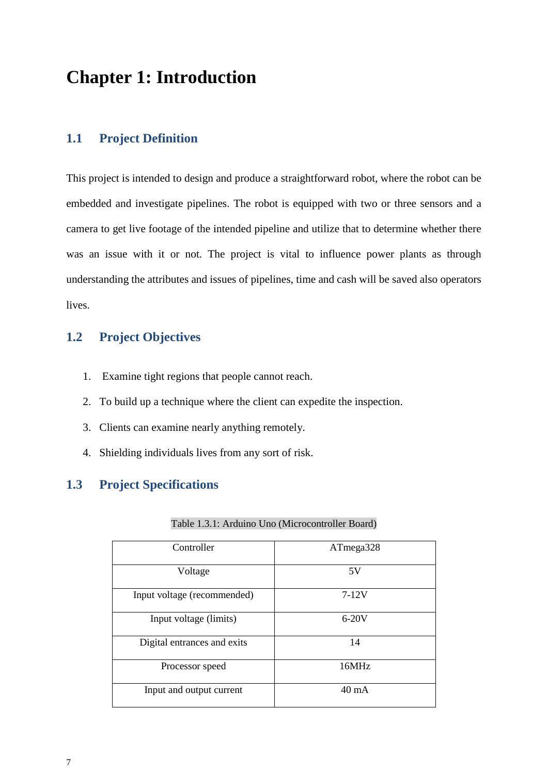## <span id="page-6-0"></span>**Chapter 1: Introduction**

## <span id="page-6-1"></span>**1.1 Project Definition**

This project is intended to design and produce a straightforward robot, where the robot can be embedded and investigate pipelines. The robot is equipped with two or three sensors and a camera to get live footage of the intended pipeline and utilize that to determine whether there was an issue with it or not. The project is vital to influence power plants as through understanding the attributes and issues of pipelines, time and cash will be saved also operators lives.

## <span id="page-6-2"></span>**1.2 Project Objectives**

- 1. Examine tight regions that people cannot reach.
- 2. To build up a technique where the client can expedite the inspection.
- 3. Clients can examine nearly anything remotely.
- 4. Shielding individuals lives from any sort of risk.

## <span id="page-6-3"></span>**1.3 Project Specifications**

#### Table 1.3.1: Arduino Uno (Microcontroller Board)

| Controller                  | ATmega328 |
|-----------------------------|-----------|
| Voltage                     | 5V        |
| Input voltage (recommended) | $7-12V$   |
| Input voltage (limits)      | $6-20V$   |
| Digital entrances and exits | 14        |
| Processor speed             | 16MHz     |
| Input and output current    | 40 mA     |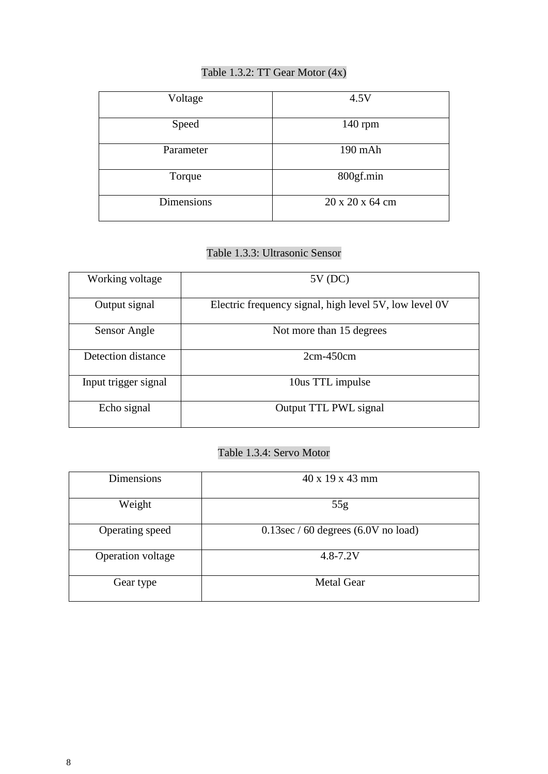## Table 1.3.2: TT Gear Motor (4x)

| Voltage           | 4.5V            |
|-------------------|-----------------|
| Speed             | $140$ rpm       |
| Parameter         | 190 mAh         |
| Torque            | 800gf.min       |
| <b>Dimensions</b> | 20 x 20 x 64 cm |

## Table 1.3.3: Ultrasonic Sensor

| Working voltage      | $5V$ (DC)                                              |
|----------------------|--------------------------------------------------------|
| Output signal        | Electric frequency signal, high level 5V, low level 0V |
| Sensor Angle         | Not more than 15 degrees                               |
| Detection distance   | $2cm-450cm$                                            |
| Input trigger signal | 10us TTL impulse                                       |
| Echo signal          | Output TTL PWL signal                                  |

## Table 1.3.4: Servo Motor

| <b>Dimensions</b> | $40 \times 19 \times 43$ mm            |
|-------------------|----------------------------------------|
| Weight            | 55g                                    |
| Operating speed   | $0.13$ sec / 60 degrees (6.0V no load) |
| Operation voltage | $4.8 - 7.2V$                           |
| Gear type         | <b>Metal Gear</b>                      |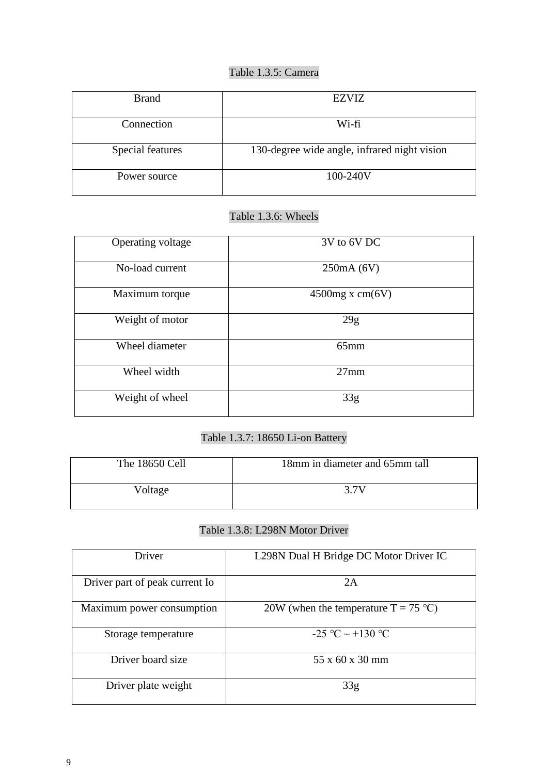## Table 1.3.5: Camera

| <b>Brand</b>     | <b>EZVIZ</b>                                 |
|------------------|----------------------------------------------|
| Connection       | Wi-fi                                        |
| Special features | 130-degree wide angle, infrared night vision |
| Power source     | 100-240V                                     |

## Table 1.3.6: Wheels

| Operating voltage | 3V to 6V DC        |
|-------------------|--------------------|
| No-load current   | 250mA (6V)         |
| Maximum torque    | $4500$ mg x cm(6V) |
| Weight of motor   | 29g                |
| Wheel diameter    | $65$ mm            |
| Wheel width       | $27$ mm            |
| Weight of wheel   | 33g                |

## Table 1.3.7: 18650 Li-on Battery

| The 18650 Cell | 18mm in diameter and 65mm tall |
|----------------|--------------------------------|
| Voltage        | 3.7V                           |

## Table 1.3.8: L298N Motor Driver

| Driver                         | L298N Dual H Bridge DC Motor Driver IC |
|--------------------------------|----------------------------------------|
| Driver part of peak current Io | 2A                                     |
| Maximum power consumption      | 20W (when the temperature $T = 75$ °C) |
| Storage temperature            | $-25$ °C $\sim +130$ °C                |
| Driver board size              | 55 x 60 x 30 mm                        |
| Driver plate weight            | 33 <sub>g</sub>                        |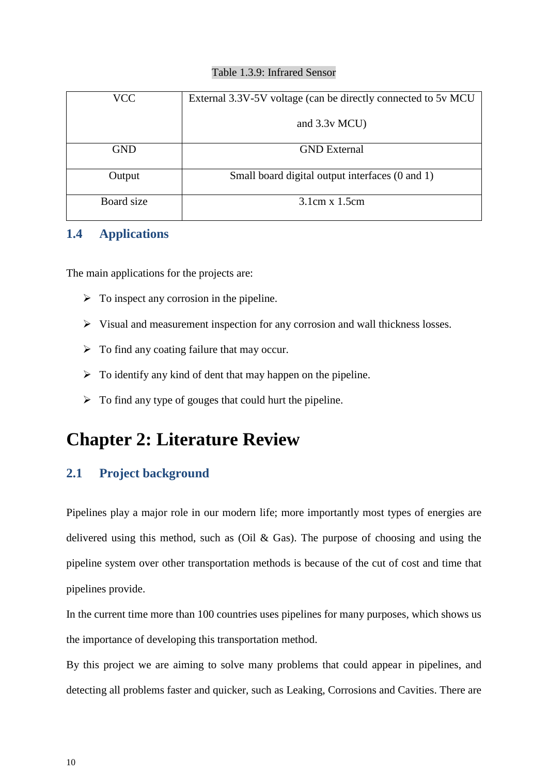#### Table 1.3.9: Infrared Sensor

| VCC        | External 3.3V-5V voltage (can be directly connected to 5v MCU |
|------------|---------------------------------------------------------------|
|            | and $3.3v$ MCU)                                               |
| <b>GND</b> | <b>GND</b> External                                           |
| Output     | Small board digital output interfaces (0 and 1)               |
| Board size | $3.1cm \times 1.5cm$                                          |

## <span id="page-9-0"></span>**1.4 Applications**

The main applications for the projects are:

- $\triangleright$  To inspect any corrosion in the pipeline.
- $\triangleright$  Visual and measurement inspection for any corrosion and wall thickness losses.
- $\triangleright$  To find any coating failure that may occur.
- $\triangleright$  To identify any kind of dent that may happen on the pipeline.
- $\triangleright$  To find any type of gouges that could hurt the pipeline.

## **Chapter 2: Literature Review**

## <span id="page-9-1"></span>**2.1 Project background**

Pipelines play a major role in our modern life; more importantly most types of energies are delivered using this method, such as (Oil & Gas). The purpose of choosing and using the pipeline system over other transportation methods is because of the cut of cost and time that pipelines provide.

In the current time more than 100 countries uses pipelines for many purposes, which shows us the importance of developing this transportation method.

By this project we are aiming to solve many problems that could appear in pipelines, and detecting all problems faster and quicker, such as Leaking, Corrosions and Cavities. There are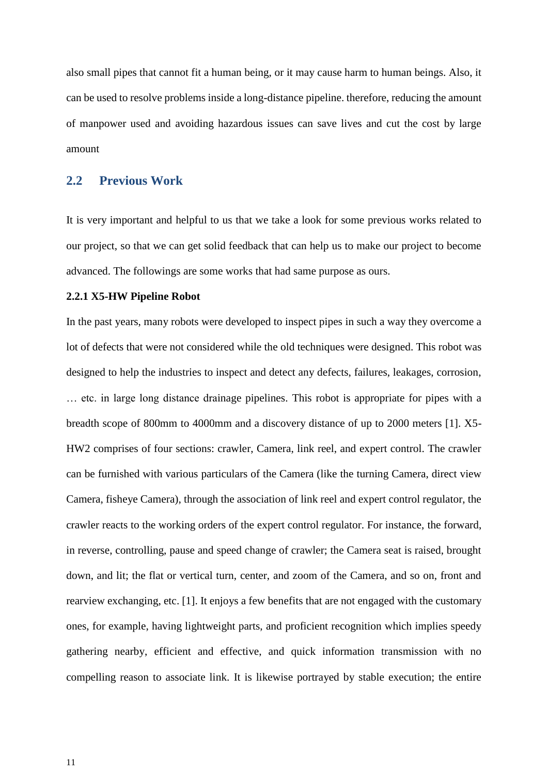also small pipes that cannot fit a human being, or it may cause harm to human beings. Also, it can be used to resolve problems inside a long-distance pipeline. therefore, reducing the amount of manpower used and avoiding hazardous issues can save lives and cut the cost by large amount

#### <span id="page-10-0"></span>**2.2 Previous Work**

It is very important and helpful to us that we take a look for some previous works related to our project, so that we can get solid feedback that can help us to make our project to become advanced. The followings are some works that had same purpose as ours.

#### **2.2.1 X5-HW Pipeline Robot**

In the past years, many robots were developed to inspect pipes in such a way they overcome a lot of defects that were not considered while the old techniques were designed. This robot was designed to help the industries to inspect and detect any defects, failures, leakages, corrosion, … etc. in large long distance drainage pipelines. This robot is appropriate for pipes with a breadth scope of 800mm to 4000mm and a discovery distance of up to 2000 meters [1]. X5- HW2 comprises of four sections: crawler, Camera, link reel, and expert control. The crawler can be furnished with various particulars of the Camera (like the turning Camera, direct view Camera, fisheye Camera), through the association of link reel and expert control regulator, the crawler reacts to the working orders of the expert control regulator. For instance, the forward, in reverse, controlling, pause and speed change of crawler; the Camera seat is raised, brought down, and lit; the flat or vertical turn, center, and zoom of the Camera, and so on, front and rearview exchanging, etc. [1]. It enjoys a few benefits that are not engaged with the customary ones, for example, having lightweight parts, and proficient recognition which implies speedy gathering nearby, efficient and effective, and quick information transmission with no compelling reason to associate link. It is likewise portrayed by stable execution; the entire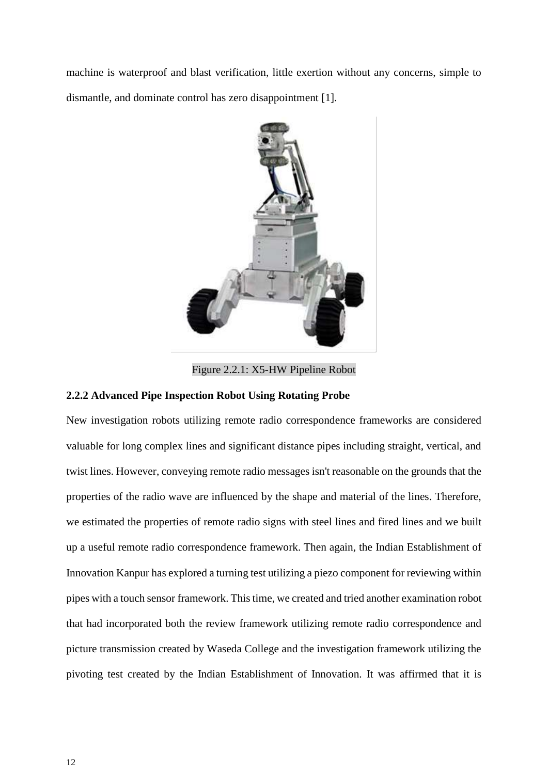machine is waterproof and blast verification, little exertion without any concerns, simple to dismantle, and dominate control has zero disappointment [1].



Figure 2.2.1: X5-HW Pipeline Robot

#### **2.2.2 Advanced Pipe Inspection Robot Using Rotating Probe**

New investigation robots utilizing remote radio correspondence frameworks are considered valuable for long complex lines and significant distance pipes including straight, vertical, and twist lines. However, conveying remote radio messages isn't reasonable on the grounds that the properties of the radio wave are influenced by the shape and material of the lines. Therefore, we estimated the properties of remote radio signs with steel lines and fired lines and we built up a useful remote radio correspondence framework. Then again, the Indian Establishment of Innovation Kanpur has explored a turning test utilizing a piezo component for reviewing within pipes with a touch sensor framework. This time, we created and tried another examination robot that had incorporated both the review framework utilizing remote radio correspondence and picture transmission created by Waseda College and the investigation framework utilizing the pivoting test created by the Indian Establishment of Innovation. It was affirmed that it is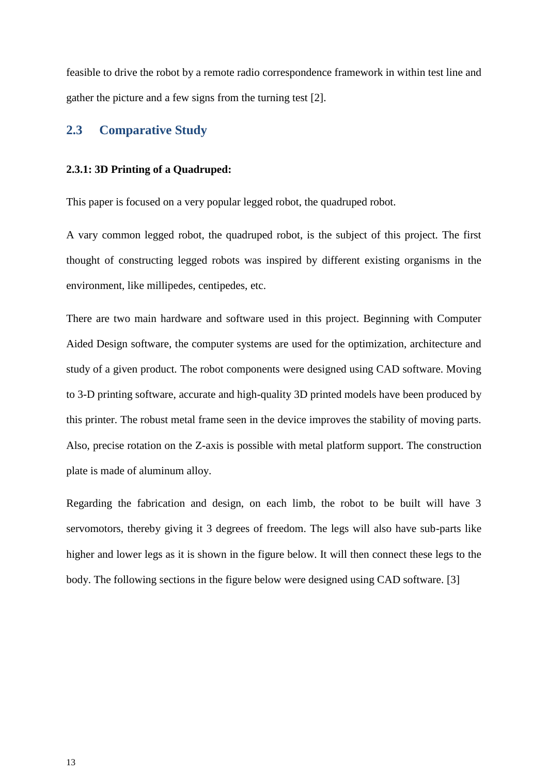feasible to drive the robot by a remote radio correspondence framework in within test line and gather the picture and a few signs from the turning test [2].

#### <span id="page-12-0"></span>**2.3 Comparative Study**

#### **2.3.1: 3D Printing of a Quadruped:**

This paper is focused on a very popular legged robot, the quadruped robot.

A vary common legged robot, the quadruped robot, is the subject of this project. The first thought of constructing legged robots was inspired by different existing organisms in the environment, like millipedes, centipedes, etc.

There are two main hardware and software used in this project. Beginning with Computer Aided Design software, the computer systems are used for the optimization, architecture and study of a given product. The robot components were designed using CAD software. Moving to 3-D printing software, accurate and high-quality 3D printed models have been produced by this printer. The robust metal frame seen in the device improves the stability of moving parts. Also, precise rotation on the Z-axis is possible with metal platform support. The construction plate is made of aluminum alloy.

Regarding the fabrication and design, on each limb, the robot to be built will have 3 servomotors, thereby giving it 3 degrees of freedom. The legs will also have sub-parts like higher and lower legs as it is shown in the figure below. It will then connect these legs to the body. The following sections in the figure below were designed using CAD software. [3]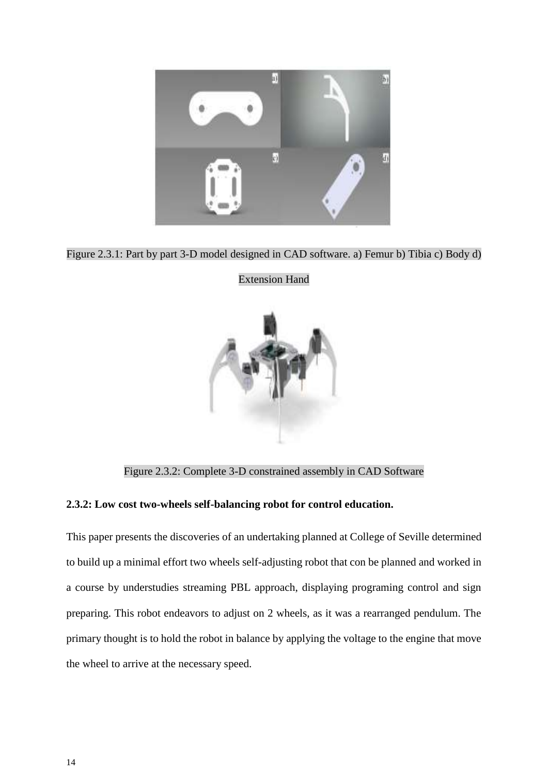

Figure 2.3.1: Part by part 3-D model designed in CAD software. a) Femur b) Tibia c) Body d)



Extension Hand

Figure 2.3.2: Complete 3-D constrained assembly in CAD Software

#### **2.3.2: Low cost two-wheels self-balancing robot for control education.**

This paper presents the discoveries of an undertaking planned at College of Seville determined to build up a minimal effort two wheels self-adjusting robot that con be planned and worked in a course by understudies streaming PBL approach, displaying programing control and sign preparing. This robot endeavors to adjust on 2 wheels, as it was a rearranged pendulum. The primary thought is to hold the robot in balance by applying the voltage to the engine that move the wheel to arrive at the necessary speed.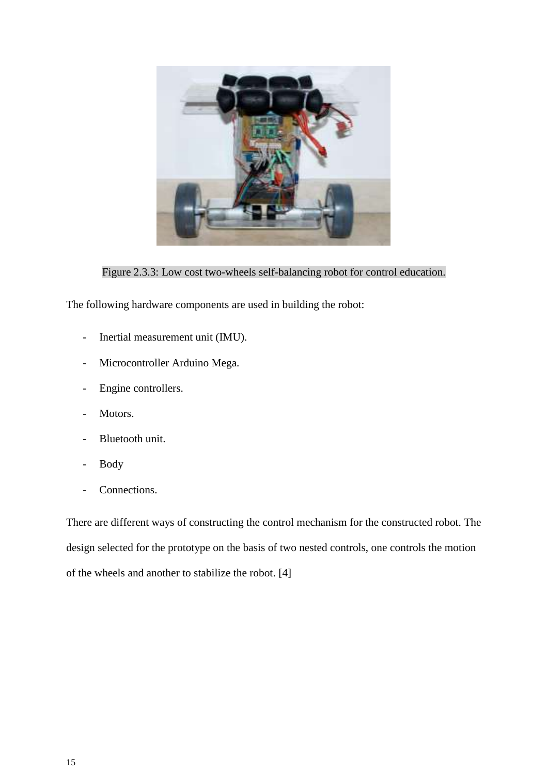

Figure 2.3.3: Low cost two-wheels self-balancing robot for control education.

The following hardware components are used in building the robot:

- Inertial measurement unit (IMU).
- Microcontroller Arduino Mega.
- Engine controllers.
- Motors.
- Bluetooth unit.
- Body
- Connections.

There are different ways of constructing the control mechanism for the constructed robot. The design selected for the prototype on the basis of two nested controls, one controls the motion of the wheels and another to stabilize the robot. [4]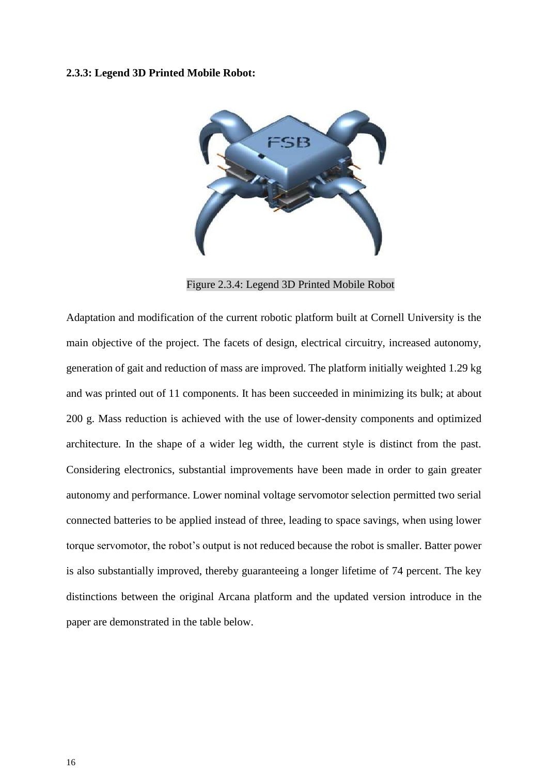#### **2.3.3: Legend 3D Printed Mobile Robot:**



Figure 2.3.4: Legend 3D Printed Mobile Robot

Adaptation and modification of the current robotic platform built at Cornell University is the main objective of the project. The facets of design, electrical circuitry, increased autonomy, generation of gait and reduction of mass are improved. The platform initially weighted 1.29 kg and was printed out of 11 components. It has been succeeded in minimizing its bulk; at about 200 g. Mass reduction is achieved with the use of lower-density components and optimized architecture. In the shape of a wider leg width, the current style is distinct from the past. Considering electronics, substantial improvements have been made in order to gain greater autonomy and performance. Lower nominal voltage servomotor selection permitted two serial connected batteries to be applied instead of three, leading to space savings, when using lower torque servomotor, the robot's output is not reduced because the robot is smaller. Batter power is also substantially improved, thereby guaranteeing a longer lifetime of 74 percent. The key distinctions between the original Arcana platform and the updated version introduce in the paper are demonstrated in the table below.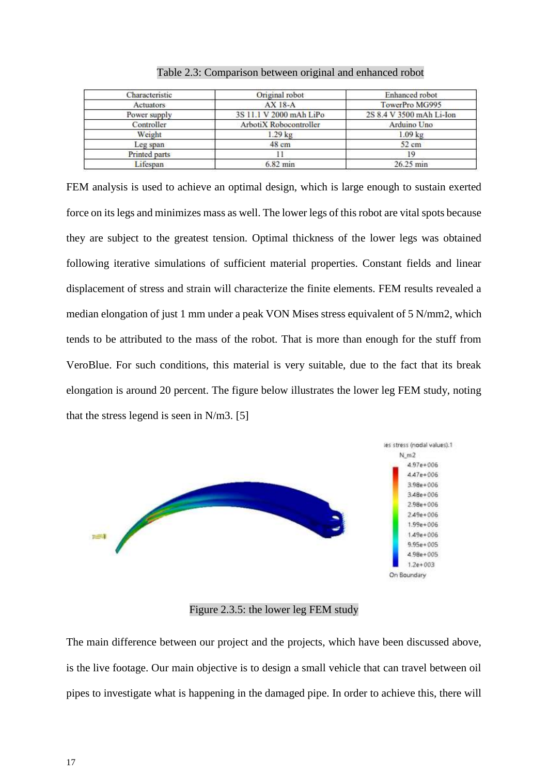| Characteristic | Original robot          | Enhanced robot           |
|----------------|-------------------------|--------------------------|
| Actuators      | AX 18-A                 | TowerPro MG995           |
| Power supply   | 3S 11.1 V 2000 mAh LiPo | 2S 8.4 V 3500 mAh Li-Ion |
| Controller     | ArbotiX Robocontroller  | Arduino Uno              |
| Weight         | $1.29$ kg               | $1.09$ kg                |
| Leg span       | 48 cm                   | 52 cm                    |
| Printed parts  |                         | 19                       |
| Lifespan       | $6.82$ min              | 26.25 min                |

| Table 2.3: Comparison between original and enhanced robot |  |  |  |
|-----------------------------------------------------------|--|--|--|
|                                                           |  |  |  |

FEM analysis is used to achieve an optimal design, which is large enough to sustain exerted force on its legs and minimizes mass as well. The lower legs of this robot are vital spots because they are subject to the greatest tension. Optimal thickness of the lower legs was obtained following iterative simulations of sufficient material properties. Constant fields and linear displacement of stress and strain will characterize the finite elements. FEM results revealed a median elongation of just 1 mm under a peak VON Mises stress equivalent of 5 N/mm2, which tends to be attributed to the mass of the robot. That is more than enough for the stuff from VeroBlue. For such conditions, this material is very suitable, due to the fact that its break elongation is around 20 percent. The figure below illustrates the lower leg FEM study, noting that the stress legend is seen in N/m3. [5]



Figure 2.3.5: the lower leg FEM study

The main difference between our project and the projects, which have been discussed above, is the live footage. Our main objective is to design a small vehicle that can travel between oil pipes to investigate what is happening in the damaged pipe. In order to achieve this, there will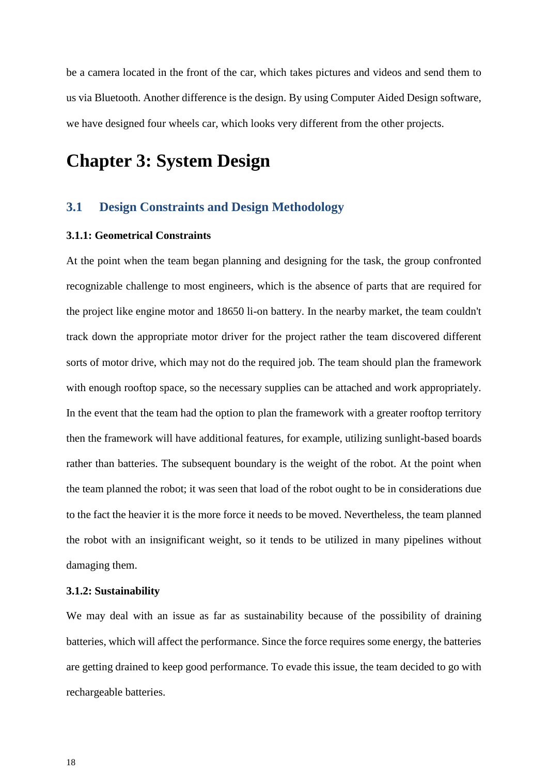be a camera located in the front of the car, which takes pictures and videos and send them to us via Bluetooth. Another difference is the design. By using Computer Aided Design software, we have designed four wheels car, which looks very different from the other projects.

## **Chapter 3: System Design**

### **3.1 Design Constraints and Design Methodology**

#### **3.1.1: Geometrical Constraints**

At the point when the team began planning and designing for the task, the group confronted recognizable challenge to most engineers, which is the absence of parts that are required for the project like engine motor and 18650 li-on battery. In the nearby market, the team couldn't track down the appropriate motor driver for the project rather the team discovered different sorts of motor drive, which may not do the required job. The team should plan the framework with enough rooftop space, so the necessary supplies can be attached and work appropriately. In the event that the team had the option to plan the framework with a greater rooftop territory then the framework will have additional features, for example, utilizing sunlight-based boards rather than batteries. The subsequent boundary is the weight of the robot. At the point when the team planned the robot; it was seen that load of the robot ought to be in considerations due to the fact the heavier it is the more force it needs to be moved. Nevertheless, the team planned the robot with an insignificant weight, so it tends to be utilized in many pipelines without damaging them.

#### **3.1.2: Sustainability**

We may deal with an issue as far as sustainability because of the possibility of draining batteries, which will affect the performance. Since the force requires some energy, the batteries are getting drained to keep good performance. To evade this issue, the team decided to go with rechargeable batteries.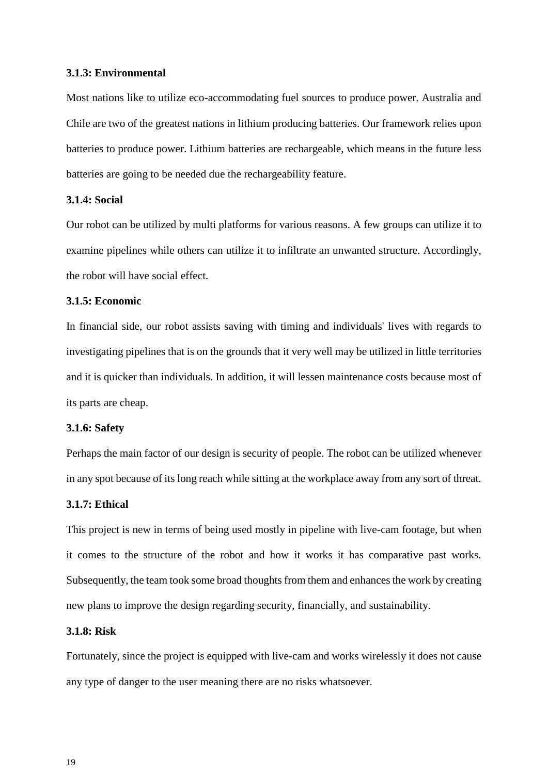#### **3.1.3: Environmental**

Most nations like to utilize eco-accommodating fuel sources to produce power. Australia and Chile are two of the greatest nations in lithium producing batteries. Our framework relies upon batteries to produce power. Lithium batteries are rechargeable, which means in the future less batteries are going to be needed due the rechargeability feature.

#### **3.1.4: Social**

Our robot can be utilized by multi platforms for various reasons. A few groups can utilize it to examine pipelines while others can utilize it to infiltrate an unwanted structure. Accordingly, the robot will have social effect.

#### **3.1.5: Economic**

In financial side, our robot assists saving with timing and individuals' lives with regards to investigating pipelines that is on the grounds that it very well may be utilized in little territories and it is quicker than individuals. In addition, it will lessen maintenance costs because most of its parts are cheap.

#### **3.1.6: Safety**

Perhaps the main factor of our design is security of people. The robot can be utilized whenever in any spot because of its long reach while sitting at the workplace away from any sort of threat.

#### **3.1.7: Ethical**

This project is new in terms of being used mostly in pipeline with live-cam footage, but when it comes to the structure of the robot and how it works it has comparative past works. Subsequently, the team took some broad thoughts from them and enhances the work by creating new plans to improve the design regarding security, financially, and sustainability.

#### **3.1.8: Risk**

Fortunately, since the project is equipped with live-cam and works wirelessly it does not cause any type of danger to the user meaning there are no risks whatsoever.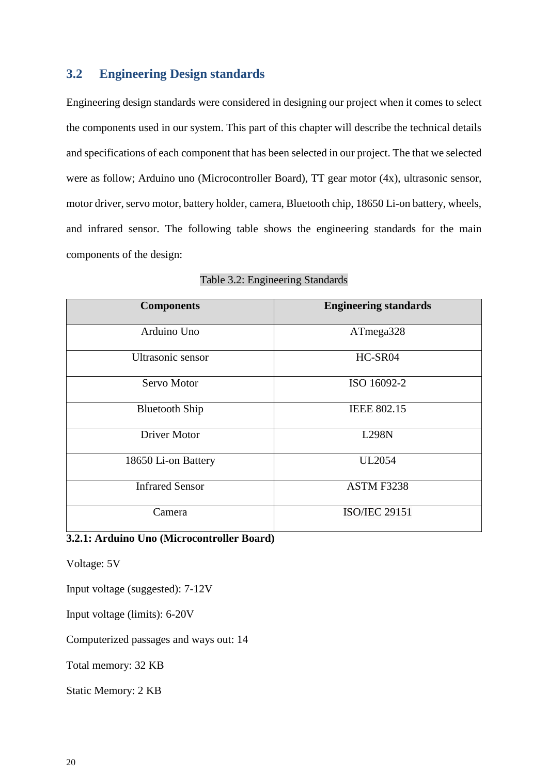### **3.2 Engineering Design standards**

Engineering design standards were considered in designing our project when it comes to select the components used in our system. This part of this chapter will describe the technical details and specifications of each component that has been selected in our project. The that we selected were as follow; Arduino uno (Microcontroller Board), TT gear motor (4x), ultrasonic sensor, motor driver, servo motor, battery holder, camera, Bluetooth chip, 18650 Li-on battery, wheels, and infrared sensor. The following table shows the engineering standards for the main components of the design:

| <b>Components</b>      | <b>Engineering standards</b> |
|------------------------|------------------------------|
| Arduino Uno            | ATmega328                    |
| Ultrasonic sensor      | HC-SR04                      |
| Servo Motor            | ISO 16092-2                  |
| <b>Bluetooth Ship</b>  | <b>IEEE 802.15</b>           |
| <b>Driver Motor</b>    | <b>L298N</b>                 |
| 18650 Li-on Battery    | <b>UL2054</b>                |
| <b>Infrared Sensor</b> | ASTM F3238                   |
| Camera                 | <b>ISO/IEC 29151</b>         |

|  | Table 3.2: Engineering Standards |  |
|--|----------------------------------|--|

### **3.2.1: Arduino Uno (Microcontroller Board)**

Voltage: 5V

Input voltage (suggested): 7-12V

Input voltage (limits): 6-20V

Computerized passages and ways out: 14

Total memory: 32 KB

Static Memory: 2 KB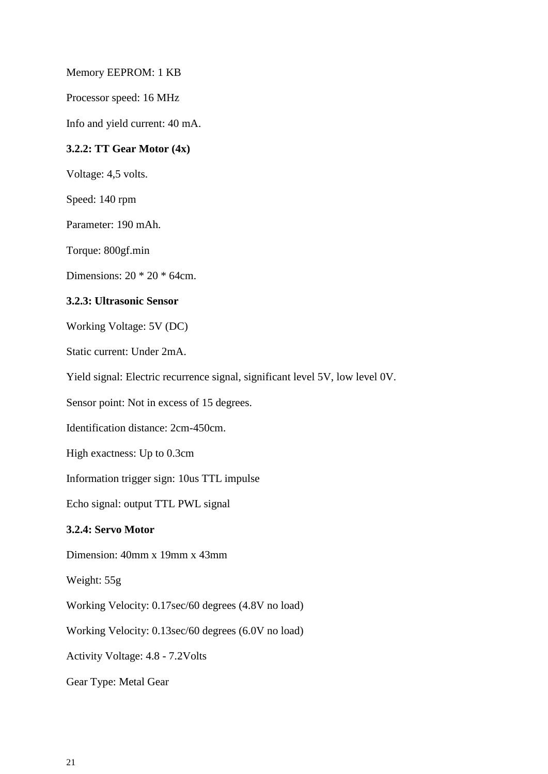Memory EEPROM: 1 KB

Processor speed: 16 MHz

Info and yield current: 40 mA.

#### **3.2.2: TT Gear Motor (4x)**

Voltage: 4,5 volts.

Speed: 140 rpm

Parameter: 190 mAh.

Torque: 800gf.min

Dimensions: 20 \* 20 \* 64cm.

#### **3.2.3: Ultrasonic Sensor**

Working Voltage: 5V (DC)

Static current: Under 2mA.

Yield signal: Electric recurrence signal, significant level 5V, low level 0V.

Sensor point: Not in excess of 15 degrees.

Identification distance: 2cm-450cm.

High exactness: Up to 0.3cm

Information trigger sign: 10us TTL impulse

Echo signal: output TTL PWL signal

#### **3.2.4: Servo Motor**

Dimension: 40mm x 19mm x 43mm

Weight: 55g

Working Velocity: 0.17sec/60 degrees (4.8V no load)

Working Velocity: 0.13sec/60 degrees (6.0V no load)

Activity Voltage: 4.8 - 7.2Volts

Gear Type: Metal Gear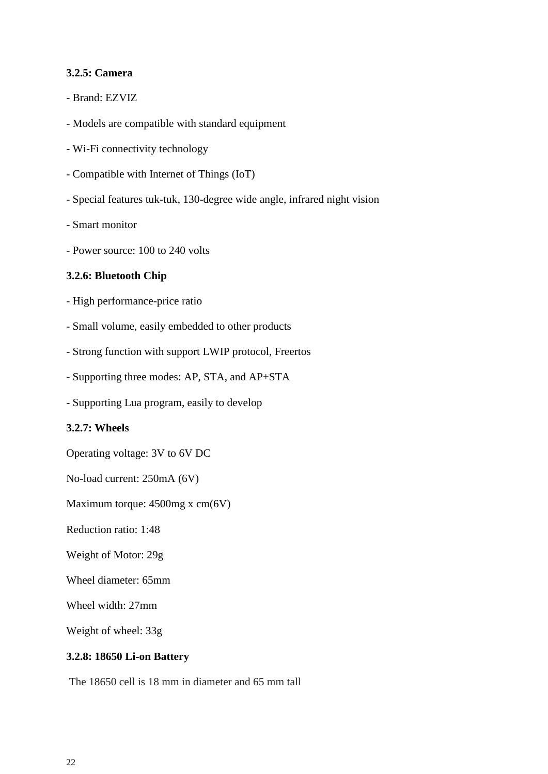#### **3.2.5: Camera**

- Brand: EZVIZ
- Models are compatible with standard equipment
- Wi-Fi connectivity technology
- Compatible with Internet of Things (IoT)
- Special features tuk-tuk, 130-degree wide angle, infrared night vision
- Smart monitor
- Power source: 100 to 240 volts

#### **3.2.6: Bluetooth Chip**

- High performance-price ratio
- Small volume, easily embedded to other products
- Strong function with support LWIP protocol, Freertos
- Supporting three modes: AP, STA, and AP+STA
- Supporting Lua program, easily to develop

#### **3.2.7: Wheels**

Operating voltage: 3V to 6V DC

No-load current: 250mA (6V)

Maximum torque: 4500mg x cm(6V)

Reduction ratio: 1:48

Weight of Motor: 29g

Wheel diameter: 65mm

Wheel width: 27mm

Weight of wheel: 33g

#### **3.2.8: 18650 Li-on Battery**

The 18650 cell is 18 mm in diameter and 65 mm tall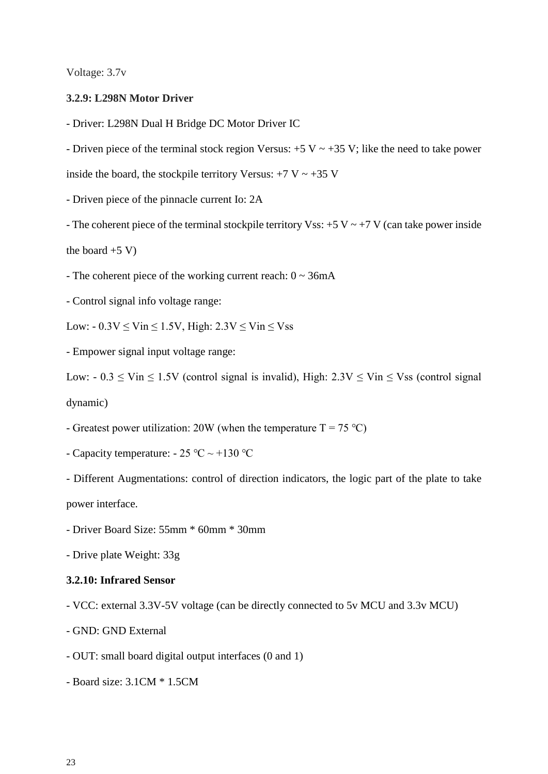Voltage: 3.7v

#### **3.2.9: L298N Motor Driver**

- Driver: L298N Dual H Bridge DC Motor Driver IC

- Driven piece of the terminal stock region Versus:  $+5$  V  $\sim$   $+35$  V; like the need to take power

inside the board, the stockpile territory Versus:  $+7$  V  $\sim +35$  V

- Driven piece of the pinnacle current Io: 2A

- The coherent piece of the terminal stockpile territory Vss:  $+5$  V  $\sim$   $+7$  V (can take power inside

the board  $+5$  V)

- The coherent piece of the working current reach:  $0 \sim 36$ mA

- Control signal info voltage range:

Low:  $-0.3V \leq \text{Vir} \leq 1.5V$ , High:  $2.3V \leq \text{Vir} \leq \text{Vis}$ 

- Empower signal input voltage range:

Low:  $-0.3 \leq \text{Vir} \leq 1.5 \text{ V}$  (control signal is invalid), High:  $2.3 \text{ V} \leq \text{Vir} \leq \text{ V}$ ss (control signal dynamic)

- Greatest power utilization: 20W (when the temperature  $T = 75 \degree C$ )

- Capacity temperature: - 25 ℃ ~ +130 ℃

- Different Augmentations: control of direction indicators, the logic part of the plate to take power interface.

- Driver Board Size: 55mm \* 60mm \* 30mm

- Drive plate Weight: 33g

#### **3.2.10: Infrared Sensor**

- VCC: external 3.3V-5V voltage (can be directly connected to 5v MCU and 3.3v MCU)

- GND: GND External

- OUT: small board digital output interfaces (0 and 1)

- Board size: 3.1CM \* 1.5CM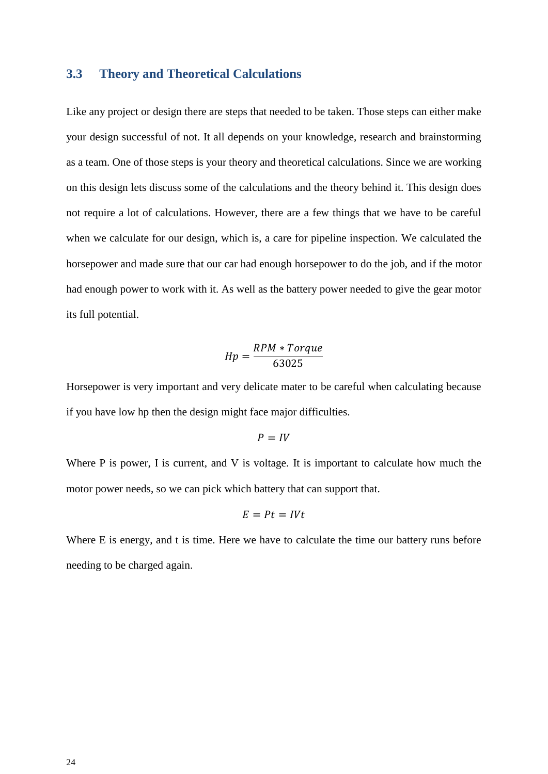#### **3.3 Theory and Theoretical Calculations**

Like any project or design there are steps that needed to be taken. Those steps can either make your design successful of not. It all depends on your knowledge, research and brainstorming as a team. One of those steps is your theory and theoretical calculations. Since we are working on this design lets discuss some of the calculations and the theory behind it. This design does not require a lot of calculations. However, there are a few things that we have to be careful when we calculate for our design, which is, a care for pipeline inspection. We calculated the horsepower and made sure that our car had enough horsepower to do the job, and if the motor had enough power to work with it. As well as the battery power needed to give the gear motor its full potential.

$$
Hp = \frac{RPM * Torque}{63025}
$$

Horsepower is very important and very delicate mater to be careful when calculating because if you have low hp then the design might face major difficulties.

$$
P = IV
$$

Where P is power, I is current, and V is voltage. It is important to calculate how much the motor power needs, so we can pick which battery that can support that.

$$
E = Pt = IVt
$$

Where E is energy, and t is time. Here we have to calculate the time our battery runs before needing to be charged again.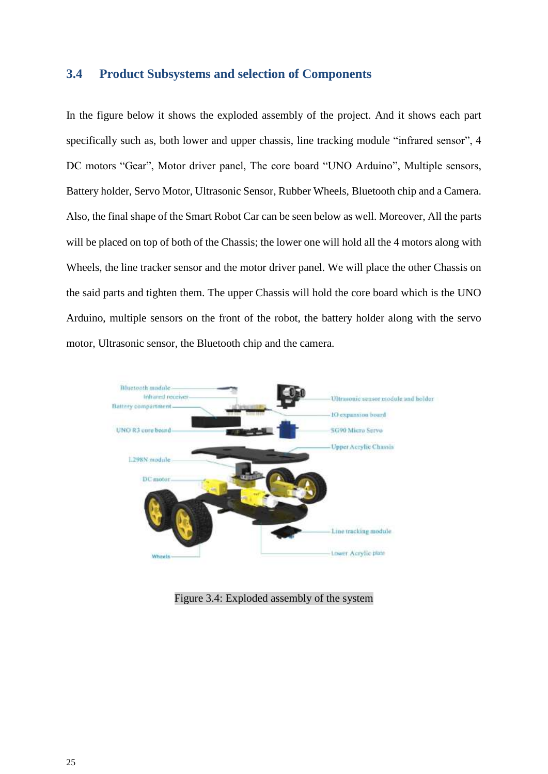#### **3.4 Product Subsystems and selection of Components**

In the figure below it shows the exploded assembly of the project. And it shows each part specifically such as, both lower and upper chassis, line tracking module "infrared sensor", 4 DC motors "Gear", Motor driver panel, The core board "UNO Arduino", Multiple sensors, Battery holder, Servo Motor, Ultrasonic Sensor, Rubber Wheels, Bluetooth chip and a Camera. Also, the final shape of the Smart Robot Car can be seen below as well. Moreover, All the parts will be placed on top of both of the Chassis; the lower one will hold all the 4 motors along with Wheels, the line tracker sensor and the motor driver panel. We will place the other Chassis on the said parts and tighten them. The upper Chassis will hold the core board which is the UNO Arduino, multiple sensors on the front of the robot, the battery holder along with the servo motor, Ultrasonic sensor, the Bluetooth chip and the camera.



Figure 3.4: Exploded assembly of the system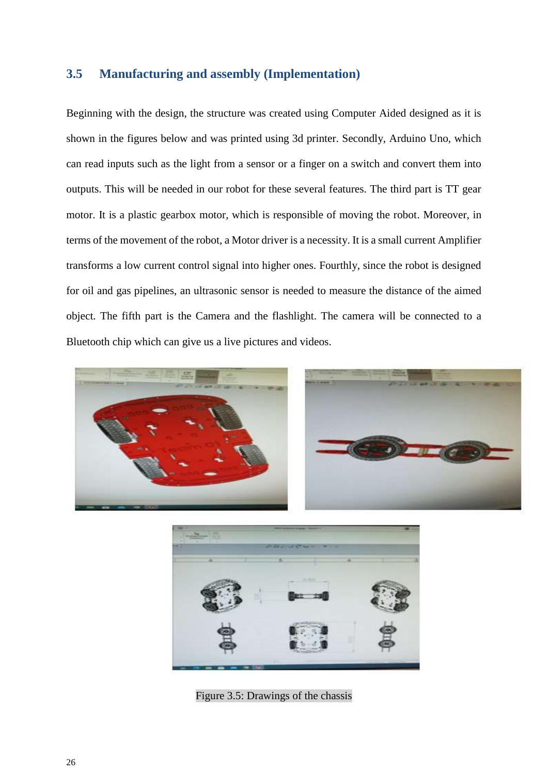## <span id="page-25-0"></span>**3.5 Manufacturing and assembly (Implementation)**

Beginning with the design, the structure was created using Computer Aided designed as it is shown in the figures below and was printed using 3d printer. Secondly, Arduino Uno, which can read inputs such as the light from a sensor or a finger on a switch and convert them into outputs. This will be needed in our robot for these several features. The third part is TT gear motor. It is a plastic gearbox motor, which is responsible of moving the robot. Moreover, in terms of the movement of the robot, a Motor driver is a necessity. It is a small current Amplifier transforms a low current control signal into higher ones. Fourthly, since the robot is designed for oil and gas pipelines, an ultrasonic sensor is needed to measure the distance of the aimed object. The fifth part is the Camera and the flashlight. The camera will be connected to a Bluetooth chip which can give us a live pictures and videos.







Figure 3.5: Drawings of the chassis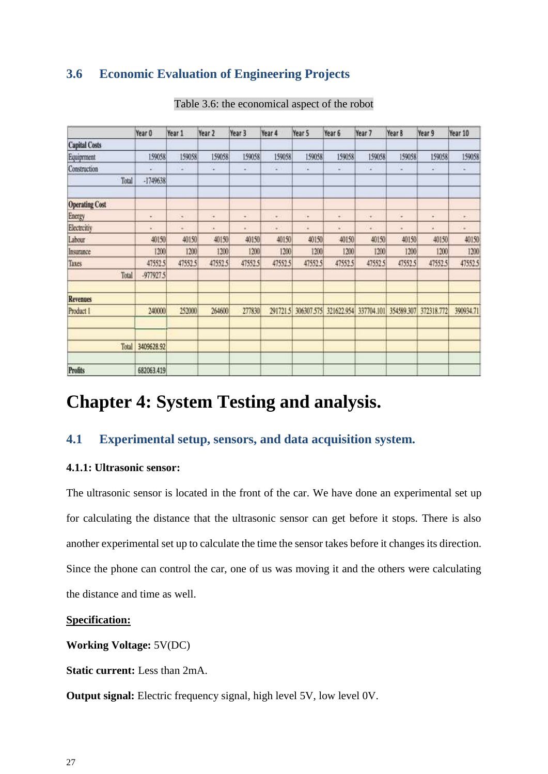## **3.6 Economic Evaluation of Engineering Projects**

|                       | Year 0     | Year 1   | Year 2  | Year 3   | Year 4                  | Year 5     | Year 6     | Year 7     | Year 8         | Year 9     | Year 10   |
|-----------------------|------------|----------|---------|----------|-------------------------|------------|------------|------------|----------------|------------|-----------|
| <b>Capital Costs</b>  |            |          |         |          |                         |            |            |            |                |            |           |
| Equiprment            | 159058     | 159058   | 159058  | 159058   | 159058                  | 159058     | 159058     | 159058     | 159058         | 159058     | 159058    |
| Construction          | u          | ×        | ٠       | ×        | a.                      | u          | μ          | u          | ٠              | ٠          | ٠         |
| Total                 | -1749638   |          |         |          |                         |            |            |            |                |            |           |
| <b>Operating Cost</b> |            |          |         |          |                         |            |            |            |                |            |           |
| Energy                | ¥          | $\alpha$ | ¥       | ÷        | $\qquad \qquad \bullet$ | ¥          | ×          | ٠          | ٠              | ٠          | ٠         |
| Electrcitiy           | s          | ٠        | ٠       | $\alpha$ | $\blacksquare$          | ×          | ٠          |            | $\blacksquare$ | ×          | $\alpha$  |
| Labour                | 40150      | 40150    | 40150   | 40150    | 40150                   | 40150      | 40150      | 40150      | 40150          | 40150      | 40150     |
| Insurance             | [200]      | 1200     | 1200    | 1200     | 1200                    | 1200       | 1200       | 1200       | 1200           | 1200       | 1200      |
| Taxes                 | 47552.5    | 47552.5  | 47552.5 | 47552.5  | 47552.5                 | 47552.5    | 47552.5    | 47552.5    | 47552.5        | 47552.5    | 47552.5   |
| Total                 | -977927.5  |          |         |          |                         |            |            |            |                |            |           |
| <b>Revenues</b>       |            |          |         |          |                         |            |            |            |                |            |           |
| Product 1             | 240000     | 252000   | 264600  | 277830   | 291721.5                | 306307.575 | 321622.954 | 337704.101 | 354589.307     | 372318.772 | 390934.71 |
| Total                 | 3409628.92 |          |         |          |                         |            |            |            |                |            |           |
| Profits               | 682063.419 |          |         |          |                         |            |            |            |                |            |           |

#### Table 3.6: the economical aspect of the robot

## **Chapter 4: System Testing and analysis.**

## **4.1 Experimental setup, sensors, and data acquisition system.**

#### **4.1.1: Ultrasonic sensor:**

The ultrasonic sensor is located in the front of the car. We have done an experimental set up for calculating the distance that the ultrasonic sensor can get before it stops. There is also another experimental set up to calculate the time the sensor takes before it changes its direction. Since the phone can control the car, one of us was moving it and the others were calculating the distance and time as well.

#### **Specification:**

**Working Voltage:** 5V(DC)

**Static current:** Less than 2mA.

**Output signal:** Electric frequency signal, high level 5V, low level 0V.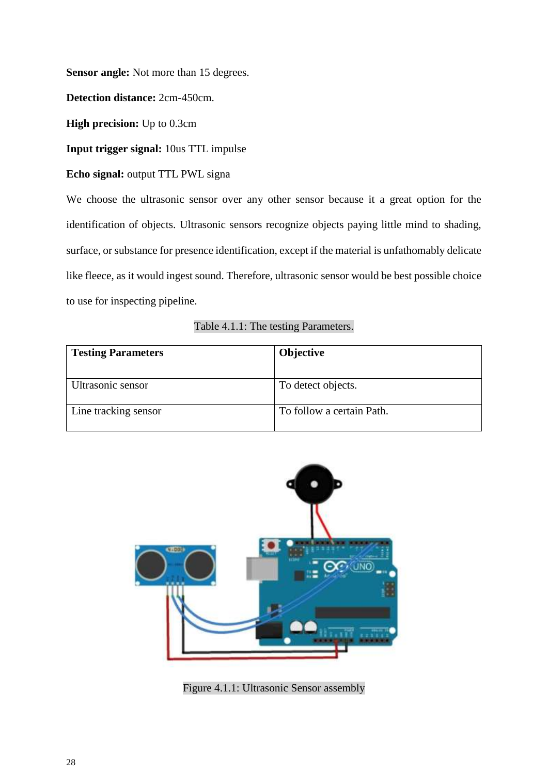**Sensor angle:** Not more than 15 degrees.

**Detection distance:** 2cm-450cm.

**High precision:** Up to 0.3cm

**Input trigger signal:** 10us TTL impulse

**Echo signal:** output TTL PWL signa

We choose the ultrasonic sensor over any other sensor because it a great option for the identification of objects. Ultrasonic sensors recognize objects paying little mind to shading, surface, or substance for presence identification, except if the material is unfathomably delicate like fleece, as it would ingest sound. Therefore, ultrasonic sensor would be best possible choice to use for inspecting pipeline.

|  | Table 4.1.1: The testing Parameters. |  |  |
|--|--------------------------------------|--|--|
|--|--------------------------------------|--|--|

| <b>Testing Parameters</b> | <b>Objective</b>          |
|---------------------------|---------------------------|
|                           |                           |
| Ultrasonic sensor         | To detect objects.        |
| Line tracking sensor      | To follow a certain Path. |



Figure 4.1.1: Ultrasonic Sensor assembly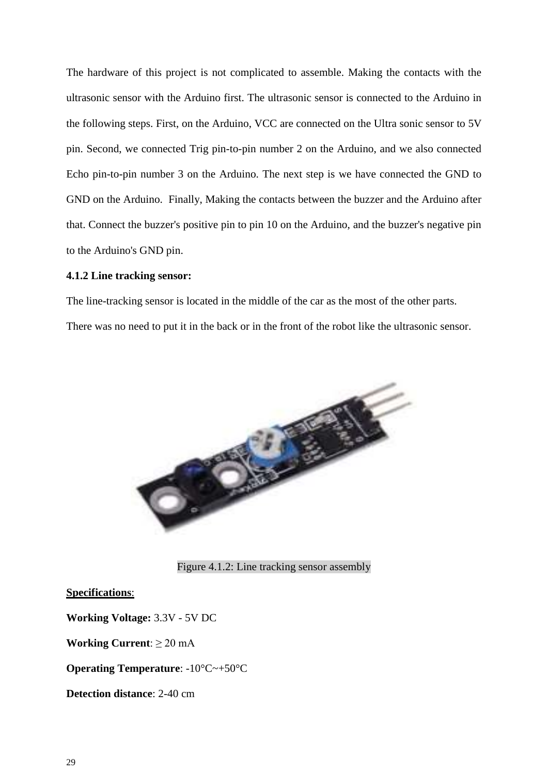The hardware of this project is not complicated to assemble. Making the contacts with the ultrasonic sensor with the Arduino first. The ultrasonic sensor is connected to the Arduino in the following steps. First, on the Arduino, VCC are connected on the Ultra sonic sensor to 5V pin. Second, we connected Trig pin-to-pin number 2 on the Arduino, and we also connected Echo pin-to-pin number 3 on the Arduino. The next step is we have connected the GND to GND on the Arduino. Finally, Making the contacts between the buzzer and the Arduino after that. Connect the buzzer's positive pin to pin 10 on the Arduino, and the buzzer's negative pin to the Arduino's GND pin.

#### **4.1.2 Line tracking sensor:**

The line-tracking sensor is located in the middle of the car as the most of the other parts.

There was no need to put it in the back or in the front of the robot like the ultrasonic sensor.



Figure 4.1.2: Line tracking sensor assembly

#### **Specifications**:

**Working Voltage:** 3.3V - 5V DC

**Working Current**: ≥ 20 mA

**Operating Temperature**: -10°C~+50°C

**Detection distance**: 2-40 cm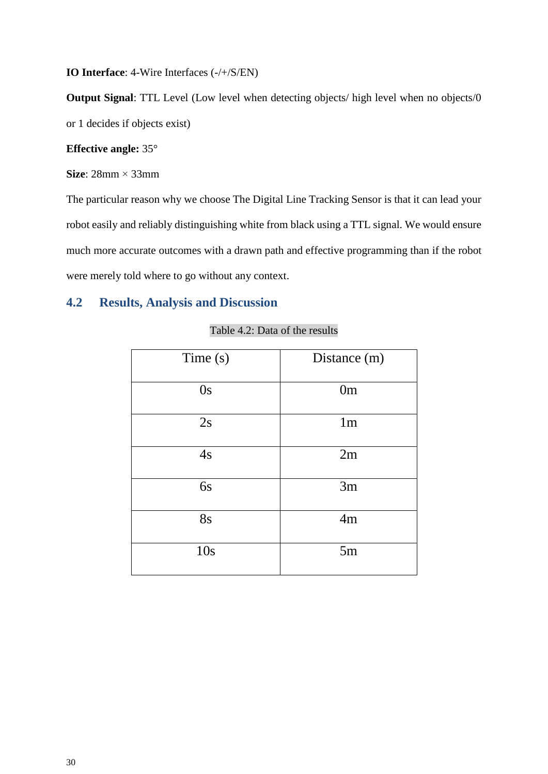**IO Interface**: 4-Wire Interfaces (-/+/S/EN)

**Output Signal:** TTL Level (Low level when detecting objects/ high level when no objects/0 or 1 decides if objects exist)

#### **Effective angle:** 35°

**Size**: 28mm × 33mm

The particular reason why we choose The Digital Line Tracking Sensor is that it can lead your robot easily and reliably distinguishing white from black using a TTL signal. We would ensure much more accurate outcomes with a drawn path and effective programming than if the robot were merely told where to go without any context.

### **4.2 Results, Analysis and Discussion**

| Time(s)   | Distance (m)   |
|-----------|----------------|
| 0s        | 0 <sub>m</sub> |
| 2s        | 1 <sub>m</sub> |
| 4s        | 2m             |
| 6s        | 3m             |
| <b>8s</b> | 4m             |
| 10s       | 5m             |

#### Table 4.2: Data of the results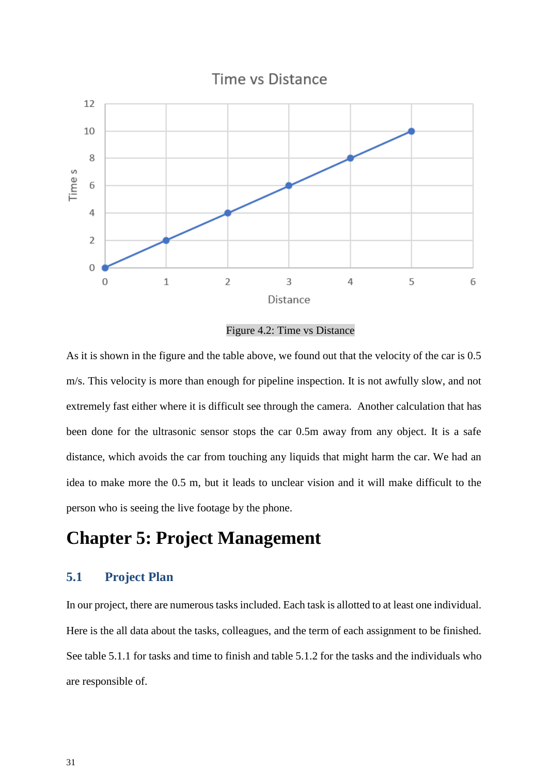

Figure 4.2: Time vs Distance

As it is shown in the figure and the table above, we found out that the velocity of the car is 0.5 m/s. This velocity is more than enough for pipeline inspection. It is not awfully slow, and not extremely fast either where it is difficult see through the camera. Another calculation that has been done for the ultrasonic sensor stops the car 0.5m away from any object. It is a safe distance, which avoids the car from touching any liquids that might harm the car. We had an idea to make more the 0.5 m, but it leads to unclear vision and it will make difficult to the person who is seeing the live footage by the phone.

## **Chapter 5: Project Management**

### **5.1 Project Plan**

In our project, there are numerous tasks included. Each task is allotted to at least one individual. Here is the all data about the tasks, colleagues, and the term of each assignment to be finished. See table 5.1.1 for tasks and time to finish and table 5.1.2 for the tasks and the individuals who are responsible of.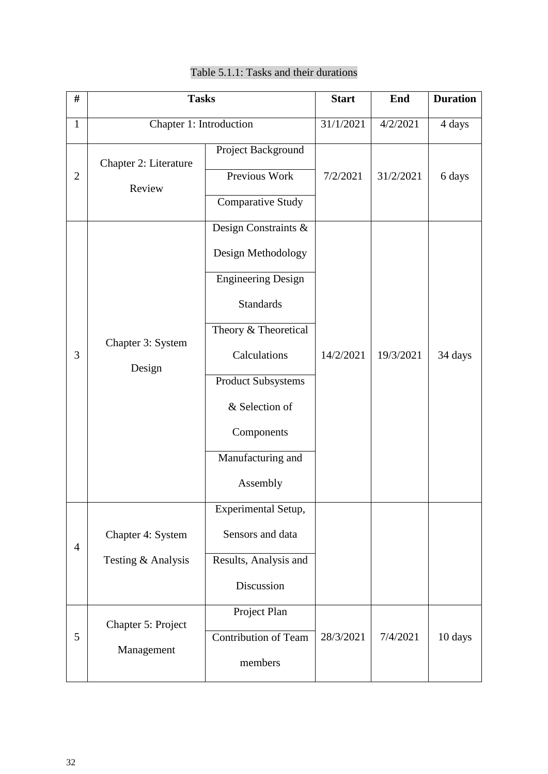| $\#$           | <b>Tasks</b>                            |                                                                                                                                                                                                                                   | <b>Start</b> | End       | <b>Duration</b> |
|----------------|-----------------------------------------|-----------------------------------------------------------------------------------------------------------------------------------------------------------------------------------------------------------------------------------|--------------|-----------|-----------------|
| $\mathbf{1}$   | Chapter 1: Introduction                 |                                                                                                                                                                                                                                   | 31/1/2021    | 4/2/2021  | 4 days          |
| $\overline{2}$ | Chapter 2: Literature<br>Review         | Project Background<br>Previous Work<br><b>Comparative Study</b>                                                                                                                                                                   | 7/2/2021     | 31/2/2021 | 6 days          |
| 3              | Chapter 3: System<br>Design             | Design Constraints &<br>Design Methodology<br><b>Engineering Design</b><br><b>Standards</b><br>Theory & Theoretical<br>Calculations<br><b>Product Subsystems</b><br>& Selection of<br>Components<br>Manufacturing and<br>Assembly | 14/2/2021    | 19/3/2021 | 34 days         |
| $\overline{4}$ | Chapter 4: System<br>Testing & Analysis | Experimental Setup,<br>Sensors and data<br>Results, Analysis and<br>Discussion<br>Project Plan                                                                                                                                    |              |           |                 |
| 5              | Chapter 5: Project<br>Management        | <b>Contribution of Team</b><br>members                                                                                                                                                                                            | 28/3/2021    | 7/4/2021  | 10 days         |

## Table 5.1.1: Tasks and their durations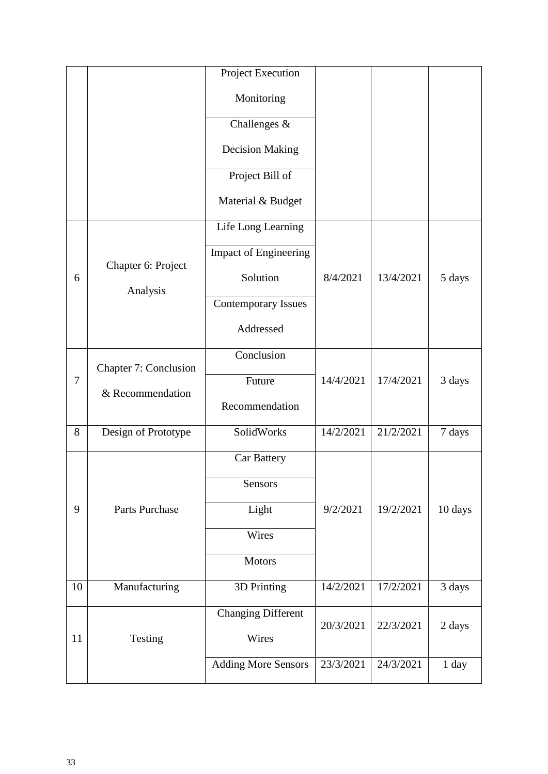|        |                                | Project Execution          |           |           |         |
|--------|--------------------------------|----------------------------|-----------|-----------|---------|
|        |                                | Monitoring                 |           |           |         |
|        |                                | Challenges &               |           |           |         |
|        |                                | <b>Decision Making</b>     |           |           |         |
|        |                                | Project Bill of            |           |           |         |
|        |                                | Material & Budget          |           |           |         |
|        |                                | Life Long Learning         |           |           |         |
|        |                                | Impact of Engineering      |           |           |         |
| 6      | Chapter 6: Project<br>Analysis | Solution                   | 8/4/2021  | 13/4/2021 | 5 days  |
|        |                                | <b>Contemporary Issues</b> |           |           |         |
|        |                                | Addressed                  |           |           |         |
|        | Chapter 7: Conclusion          | Conclusion                 |           |           |         |
| $\tau$ |                                | Future                     | 14/4/2021 | 17/4/2021 | 3 days  |
|        | & Recommendation               | Recommendation             |           |           |         |
| 8      | Design of Prototype            | SolidWorks                 | 14/2/2021 | 21/2/2021 | 7 days  |
|        |                                | <b>Car Battery</b>         |           |           |         |
|        |                                | Sensors                    |           |           |         |
| 9      | Parts Purchase                 | Light                      | 9/2/2021  | 19/2/2021 | 10 days |
|        |                                | Wires                      |           |           |         |
|        |                                | <b>Motors</b>              |           |           |         |
| 10     | Manufacturing                  | 3D Printing                | 14/2/2021 | 17/2/2021 | 3 days  |
|        |                                | Changing Different         | 20/3/2021 | 22/3/2021 |         |
| 11     | Testing                        | Wires                      |           |           | 2 days  |
|        |                                | <b>Adding More Sensors</b> | 23/3/2021 | 24/3/2021 | 1 day   |
|        |                                |                            |           |           |         |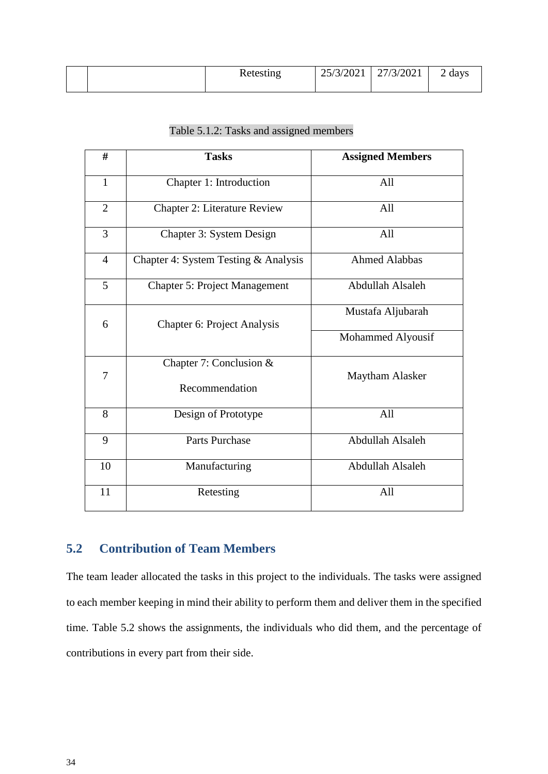|  | Retesting | $\mid$ 25/3/2021 $\mid$ 27/3/2021 | 2 days |
|--|-----------|-----------------------------------|--------|
|  |           |                                   |        |

| #              | <b>Tasks</b>                         | <b>Assigned Members</b> |
|----------------|--------------------------------------|-------------------------|
| $\mathbf{1}$   | Chapter 1: Introduction              | All                     |
| $\overline{2}$ | <b>Chapter 2: Literature Review</b>  | All                     |
| 3              | Chapter 3: System Design             | All                     |
| $\overline{4}$ | Chapter 4: System Testing & Analysis | <b>Ahmed Alabbas</b>    |
| 5              | <b>Chapter 5: Project Management</b> | Abdullah Alsaleh        |
| 6              | Chapter 6: Project Analysis          | Mustafa Aljubarah       |
|                |                                      | Mohammed Alyousif       |
| 7              | Chapter 7: Conclusion &              | <b>Maytham Alasker</b>  |
|                | Recommendation                       |                         |
| 8              | Design of Prototype                  | All                     |
| 9              | <b>Parts Purchase</b>                | Abdullah Alsaleh        |
| 10             | Manufacturing                        | Abdullah Alsaleh        |
| 11             | Retesting                            | All                     |

## **5.2 Contribution of Team Members**

The team leader allocated the tasks in this project to the individuals. The tasks were assigned to each member keeping in mind their ability to perform them and deliver them in the specified time. Table 5.2 shows the assignments, the individuals who did them, and the percentage of contributions in every part from their side.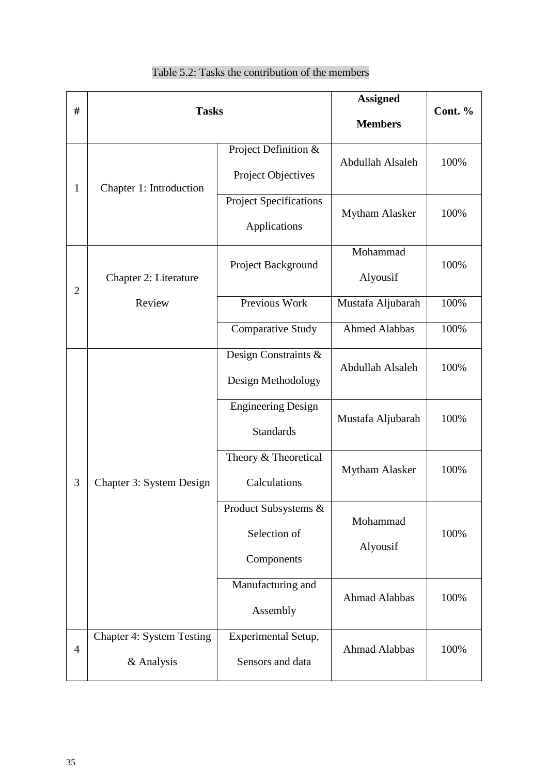| #              | <b>Tasks</b>                                   |                                                    | <b>Assigned</b><br><b>Members</b> | Cont. % |
|----------------|------------------------------------------------|----------------------------------------------------|-----------------------------------|---------|
| $\mathbf{1}$   | Chapter 1: Introduction                        | Project Definition &<br>Project Objectives         | Abdullah Alsaleh                  | 100%    |
|                |                                                | <b>Project Specifications</b><br>Applications      | <b>Mytham Alasker</b>             | 100%    |
| $\overline{2}$ | Chapter 2: Literature                          | Project Background                                 | Mohammad<br>Alyousif              | 100%    |
|                | Review                                         | Previous Work                                      | Mustafa Aljubarah                 | 100%    |
|                |                                                | <b>Comparative Study</b>                           | <b>Ahmed Alabbas</b>              | 100%    |
| 3              | Chapter 3: System Design                       | Design Constraints &<br>Design Methodology         | Abdullah Alsaleh                  | 100%    |
|                |                                                | <b>Engineering Design</b><br><b>Standards</b>      | Mustafa Aljubarah                 | 100%    |
|                |                                                | Theory & Theoretical<br>Calculations               | <b>Mytham Alasker</b>             | 100%    |
|                |                                                | Product Subsystems &<br>Selection of<br>Components | Mohammad<br>Alyousif              | 100%    |
|                |                                                | Manufacturing and<br>Assembly                      | <b>Ahmad Alabbas</b>              | 100%    |
| $\overline{4}$ | <b>Chapter 4: System Testing</b><br>& Analysis | Experimental Setup,<br>Sensors and data            | Ahmad Alabbas                     | 100%    |

## Table 5.2: Tasks the contribution of the members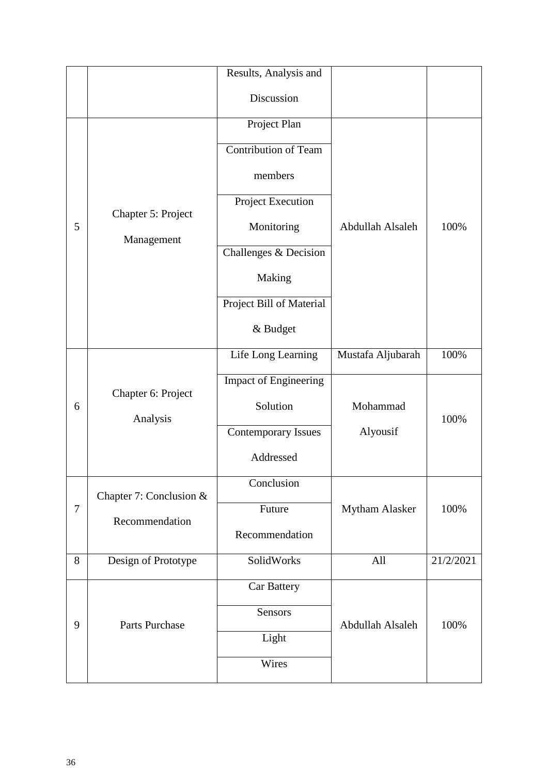|        |                                  | Results, Analysis and        |                   |           |
|--------|----------------------------------|------------------------------|-------------------|-----------|
|        |                                  | Discussion                   |                   |           |
|        | Chapter 5: Project<br>Management | Project Plan                 |                   |           |
|        |                                  | <b>Contribution of Team</b>  |                   |           |
|        |                                  | members                      |                   |           |
|        |                                  | Project Execution            |                   |           |
| 5      |                                  | Monitoring                   | Abdullah Alsaleh  | 100%      |
|        |                                  | Challenges & Decision        |                   |           |
|        |                                  | Making                       |                   |           |
|        |                                  | Project Bill of Material     |                   |           |
|        |                                  | $\&$ Budget                  |                   |           |
|        | Chapter 6: Project<br>Analysis   | Life Long Learning           | Mustafa Aljubarah | 100%      |
|        |                                  | <b>Impact of Engineering</b> |                   |           |
| 6      |                                  | Solution                     | Mohammad          | 100%      |
|        |                                  | <b>Contemporary Issues</b>   | Alyousif          |           |
|        |                                  | Addressed                    |                   |           |
|        | Chapter 7: Conclusion &          | Conclusion                   |                   |           |
| $\tau$ | Recommendation                   | Future                       | Mytham Alasker    | 100%      |
|        |                                  | Recommendation               |                   |           |
| 8      | Design of Prototype              | SolidWorks                   | All               | 21/2/2021 |
| 9      | <b>Parts Purchase</b>            | Car Battery                  |                   |           |
|        |                                  | Sensors                      | Abdullah Alsaleh  | 100%      |
|        |                                  | Light                        |                   |           |
|        |                                  | Wires                        |                   |           |
|        |                                  |                              |                   |           |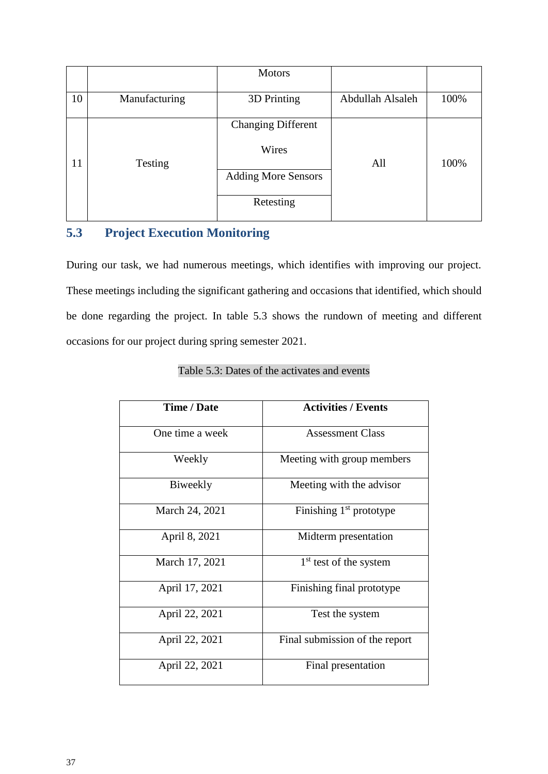|    |               | <b>Motors</b>                           |                  |      |
|----|---------------|-----------------------------------------|------------------|------|
| 10 | Manufacturing | 3D Printing                             | Abdullah Alsaleh | 100% |
| 11 | Testing       | <b>Changing Different</b><br>Wires      | All              | 100% |
|    |               | <b>Adding More Sensors</b><br>Retesting |                  |      |

## **5.3 Project Execution Monitoring**

During our task, we had numerous meetings, which identifies with improving our project. These meetings including the significant gathering and occasions that identified, which should be done regarding the project. In table 5.3 shows the rundown of meeting and different occasions for our project during spring semester 2021.

| Time / Date     | <b>Activities / Events</b>     |
|-----------------|--------------------------------|
| One time a week | <b>Assessment Class</b>        |
| Weekly          | Meeting with group members     |
| Biweekly        | Meeting with the advisor       |
| March 24, 2021  | Finishing $1st$ prototype      |
| April 8, 2021   | Midterm presentation           |
| March 17, 2021  | $1st$ test of the system       |
| April 17, 2021  | Finishing final prototype      |
| April 22, 2021  | Test the system                |
| April 22, 2021  | Final submission of the report |
| April 22, 2021  | Final presentation             |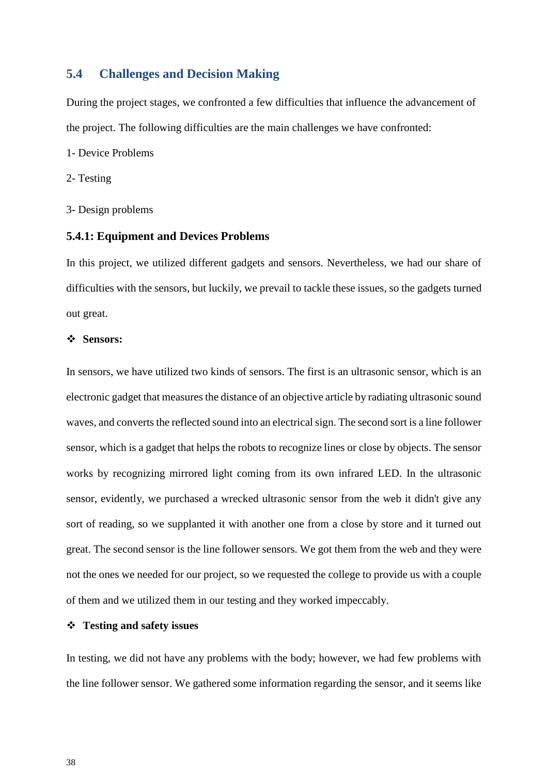#### **5.4 Challenges and Decision Making**

During the project stages, we confronted a few difficulties that influence the advancement of the project. The following difficulties are the main challenges we have confronted:

- 1- Device Problems
- 2- Testing
- 3- Design problems

#### **5.4.1: Equipment and Devices Problems**

In this project, we utilized different gadgets and sensors. Nevertheless, we had our share of difficulties with the sensors, but luckily, we prevail to tackle these issues, so the gadgets turned out great.

#### **Sensors:**

In sensors, we have utilized two kinds of sensors. The first is an ultrasonic sensor, which is an electronic gadget that measures the distance of an objective article by radiating ultrasonic sound waves, and converts the reflected sound into an electrical sign. The second sort is a line follower sensor, which is a gadget that helps the robots to recognize lines or close by objects. The sensor works by recognizing mirrored light coming from its own infrared LED. In the ultrasonic sensor, evidently, we purchased a wrecked ultrasonic sensor from the web it didn't give any sort of reading, so we supplanted it with another one from a close by store and it turned out great. The second sensor is the line follower sensors. We got them from the web and they were not the ones we needed for our project, so we requested the college to provide us with a couple of them and we utilized them in our testing and they worked impeccably.

#### **Testing and safety issues**

In testing, we did not have any problems with the body; however, we had few problems with the line follower sensor. We gathered some information regarding the sensor, and it seems like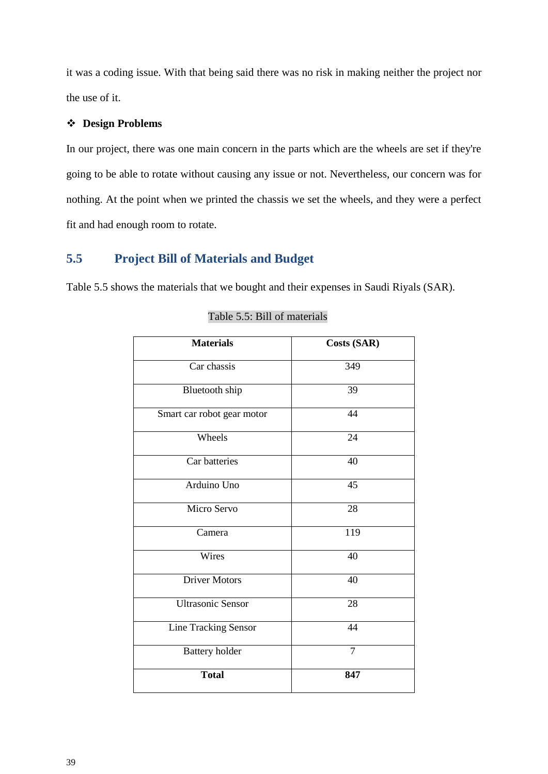it was a coding issue. With that being said there was no risk in making neither the project nor the use of it.

#### **Design Problems**

In our project, there was one main concern in the parts which are the wheels are set if they're going to be able to rotate without causing any issue or not. Nevertheless, our concern was for nothing. At the point when we printed the chassis we set the wheels, and they were a perfect fit and had enough room to rotate.

## **5.5 Project Bill of Materials and Budget**

Table 5.5 shows the materials that we bought and their expenses in Saudi Riyals (SAR).

| <b>Materials</b>            | <b>Costs (SAR)</b> |
|-----------------------------|--------------------|
| Car chassis                 | 349                |
| <b>Bluetooth</b> ship       | 39                 |
| Smart car robot gear motor  | 44                 |
| Wheels                      | 24                 |
| Car batteries               | 40                 |
| Arduino Uno                 | 45                 |
| Micro Servo                 | 28                 |
| Camera                      | 119                |
| Wires                       | 40                 |
| <b>Driver Motors</b>        | 40                 |
| <b>Ultrasonic Sensor</b>    | 28                 |
| <b>Line Tracking Sensor</b> | 44                 |
| <b>Battery</b> holder       | $\overline{7}$     |
| <b>Total</b>                | 847                |

#### Table 5.5: Bill of materials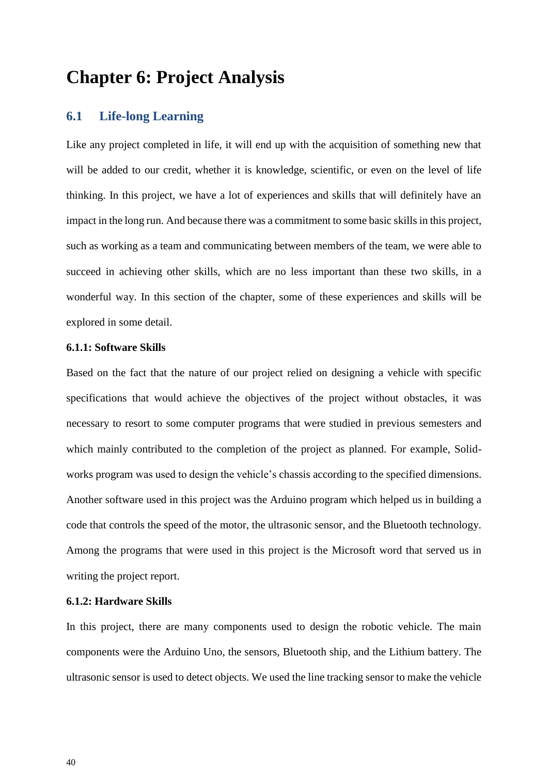## **Chapter 6: Project Analysis**

#### **6.1 Life-long Learning**

Like any project completed in life, it will end up with the acquisition of something new that will be added to our credit, whether it is knowledge, scientific, or even on the level of life thinking. In this project, we have a lot of experiences and skills that will definitely have an impact in the long run. And because there was a commitment to some basic skills in this project, such as working as a team and communicating between members of the team, we were able to succeed in achieving other skills, which are no less important than these two skills, in a wonderful way. In this section of the chapter, some of these experiences and skills will be explored in some detail.

#### **6.1.1: Software Skills**

Based on the fact that the nature of our project relied on designing a vehicle with specific specifications that would achieve the objectives of the project without obstacles, it was necessary to resort to some computer programs that were studied in previous semesters and which mainly contributed to the completion of the project as planned. For example, Solidworks program was used to design the vehicle's chassis according to the specified dimensions. Another software used in this project was the Arduino program which helped us in building a code that controls the speed of the motor, the ultrasonic sensor, and the Bluetooth technology. Among the programs that were used in this project is the Microsoft word that served us in writing the project report.

#### **6.1.2: Hardware Skills**

In this project, there are many components used to design the robotic vehicle. The main components were the Arduino Uno, the sensors, Bluetooth ship, and the Lithium battery. The ultrasonic sensor is used to detect objects. We used the line tracking sensor to make the vehicle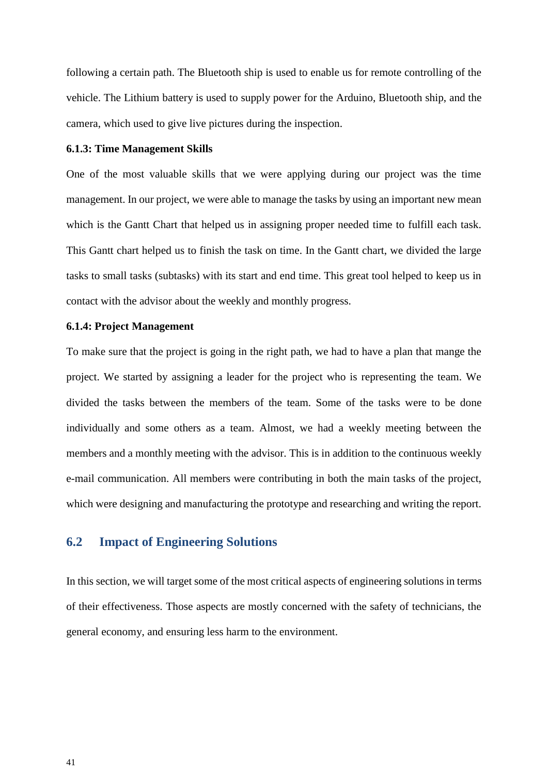following a certain path. The Bluetooth ship is used to enable us for remote controlling of the vehicle. The Lithium battery is used to supply power for the Arduino, Bluetooth ship, and the camera, which used to give live pictures during the inspection.

#### **6.1.3: Time Management Skills**

One of the most valuable skills that we were applying during our project was the time management. In our project, we were able to manage the tasks by using an important new mean which is the Gantt Chart that helped us in assigning proper needed time to fulfill each task. This Gantt chart helped us to finish the task on time. In the Gantt chart, we divided the large tasks to small tasks (subtasks) with its start and end time. This great tool helped to keep us in contact with the advisor about the weekly and monthly progress.

#### **6.1.4: Project Management**

To make sure that the project is going in the right path, we had to have a plan that mange the project. We started by assigning a leader for the project who is representing the team. We divided the tasks between the members of the team. Some of the tasks were to be done individually and some others as a team. Almost, we had a weekly meeting between the members and a monthly meeting with the advisor. This is in addition to the continuous weekly e-mail communication. All members were contributing in both the main tasks of the project, which were designing and manufacturing the prototype and researching and writing the report.

### **6.2 Impact of Engineering Solutions**

In this section, we will target some of the most critical aspects of engineering solutions in terms of their effectiveness. Those aspects are mostly concerned with the safety of technicians, the general economy, and ensuring less harm to the environment.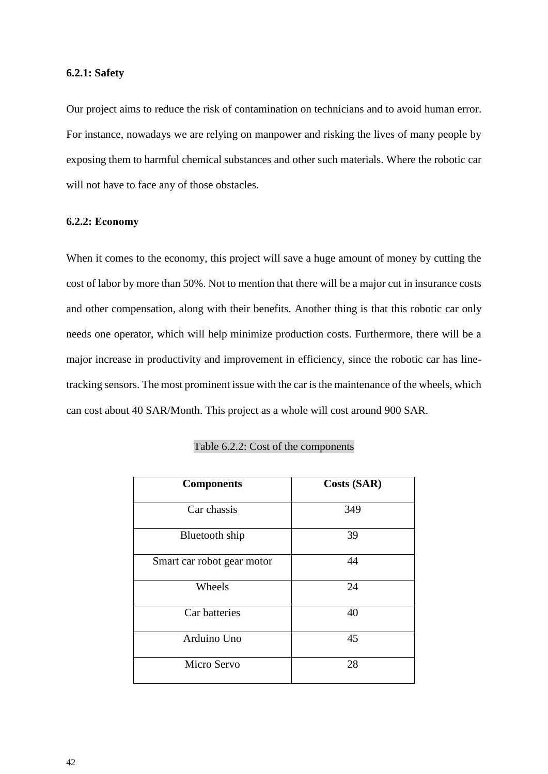#### **6.2.1: Safety**

Our project aims to reduce the risk of contamination on technicians and to avoid human error. For instance, nowadays we are relying on manpower and risking the lives of many people by exposing them to harmful chemical substances and other such materials. Where the robotic car will not have to face any of those obstacles.

#### **6.2.2: Economy**

When it comes to the economy, this project will save a huge amount of money by cutting the cost of labor by more than 50%. Not to mention that there will be a major cut in insurance costs and other compensation, along with their benefits. Another thing is that this robotic car only needs one operator, which will help minimize production costs. Furthermore, there will be a major increase in productivity and improvement in efficiency, since the robotic car has linetracking sensors. The most prominent issue with the car is the maintenance of the wheels, which can cost about 40 SAR/Month. This project as a whole will cost around 900 SAR.

| <b>Components</b>          | <b>Costs (SAR)</b> |
|----------------------------|--------------------|
| Car chassis                | 349                |
| Bluetooth ship             | 39                 |
| Smart car robot gear motor | 44                 |
| Wheels                     | 24                 |
| Car batteries              | 40                 |
| Arduino Uno                | 45                 |
| Micro Servo                | 28                 |

#### Table 6.2.2: Cost of the components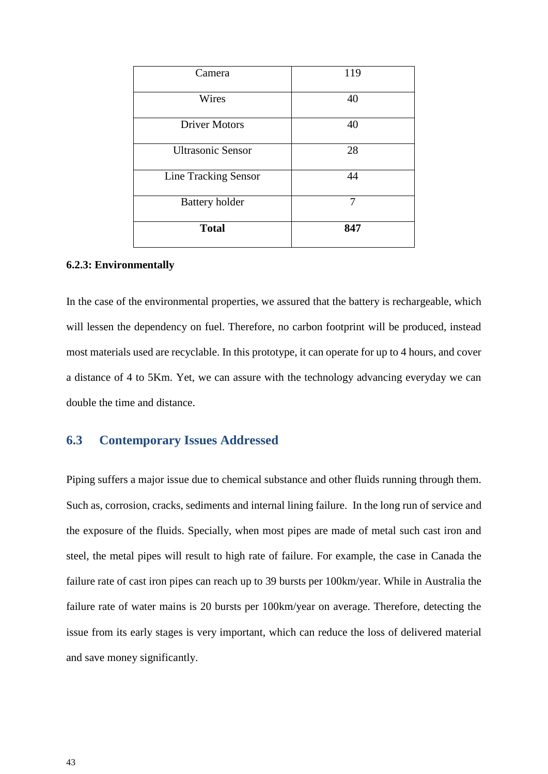| Camera                      | 119 |
|-----------------------------|-----|
| Wires                       | 40  |
| <b>Driver Motors</b>        | 40  |
| <b>Ultrasonic Sensor</b>    | 28  |
| <b>Line Tracking Sensor</b> | 44  |
| <b>Battery holder</b>       | 7   |
| <b>Total</b>                | 847 |

#### **6.2.3: Environmentally**

In the case of the environmental properties, we assured that the battery is rechargeable, which will lessen the dependency on fuel. Therefore, no carbon footprint will be produced, instead most materials used are recyclable. In this prototype, it can operate for up to 4 hours, and cover a distance of 4 to 5Km. Yet, we can assure with the technology advancing everyday we can double the time and distance.

## **6.3 Contemporary Issues Addressed**

Piping suffers a major issue due to chemical substance and other fluids running through them. Such as, corrosion, cracks, sediments and internal lining failure. In the long run of service and the exposure of the fluids. Specially, when most pipes are made of metal such cast iron and steel, the metal pipes will result to high rate of failure. For example, the case in Canada the failure rate of cast iron pipes can reach up to 39 bursts per 100km/year. While in Australia the failure rate of water mains is 20 bursts per 100km/year on average. Therefore, detecting the issue from its early stages is very important, which can reduce the loss of delivered material and save money significantly.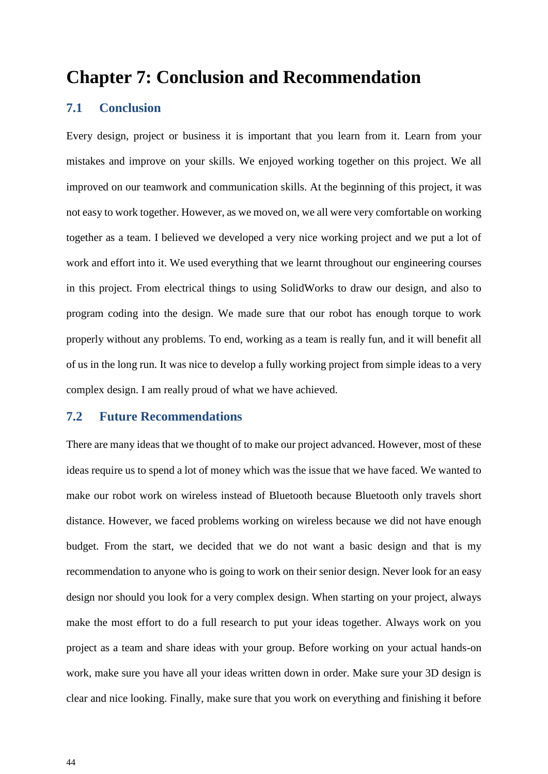## **Chapter 7: Conclusion and Recommendation**

## **7.1 Conclusion**

Every design, project or business it is important that you learn from it. Learn from your mistakes and improve on your skills. We enjoyed working together on this project. We all improved on our teamwork and communication skills. At the beginning of this project, it was not easy to work together. However, as we moved on, we all were very comfortable on working together as a team. I believed we developed a very nice working project and we put a lot of work and effort into it. We used everything that we learnt throughout our engineering courses in this project. From electrical things to using SolidWorks to draw our design, and also to program coding into the design. We made sure that our robot has enough torque to work properly without any problems. To end, working as a team is really fun, and it will benefit all of us in the long run. It was nice to develop a fully working project from simple ideas to a very complex design. I am really proud of what we have achieved.

#### **7.2 Future Recommendations**

There are many ideas that we thought of to make our project advanced. However, most of these ideas require us to spend a lot of money which was the issue that we have faced. We wanted to make our robot work on wireless instead of Bluetooth because Bluetooth only travels short distance. However, we faced problems working on wireless because we did not have enough budget. From the start, we decided that we do not want a basic design and that is my recommendation to anyone who is going to work on their senior design. Never look for an easy design nor should you look for a very complex design. When starting on your project, always make the most effort to do a full research to put your ideas together. Always work on you project as a team and share ideas with your group. Before working on your actual hands-on work, make sure you have all your ideas written down in order. Make sure your 3D design is clear and nice looking. Finally, make sure that you work on everything and finishing it before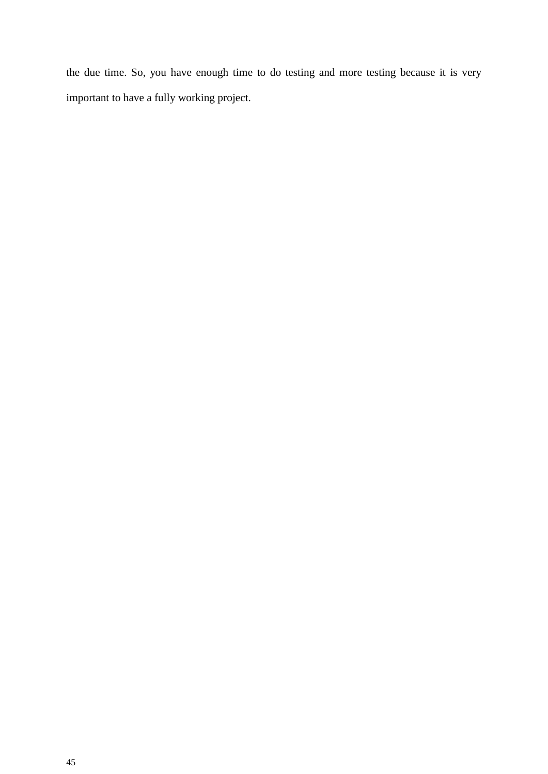the due time. So, you have enough time to do testing and more testing because it is very important to have a fully working project.